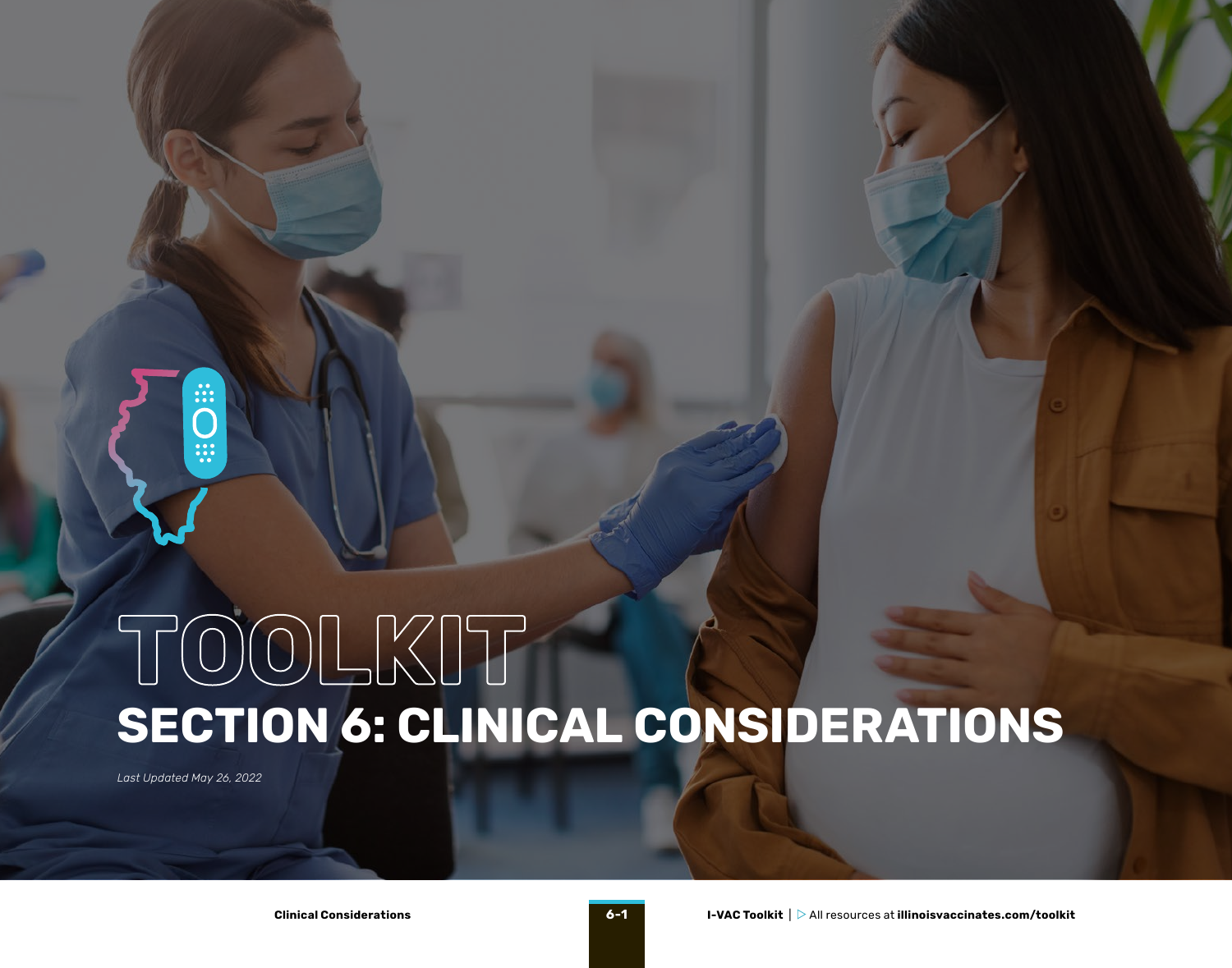# **SECTION 6: CLINICAL CONSIDERATIONS TOOLKIT**

*Last Updated May 26, 2022*

 $\ddot{\tilde{}}$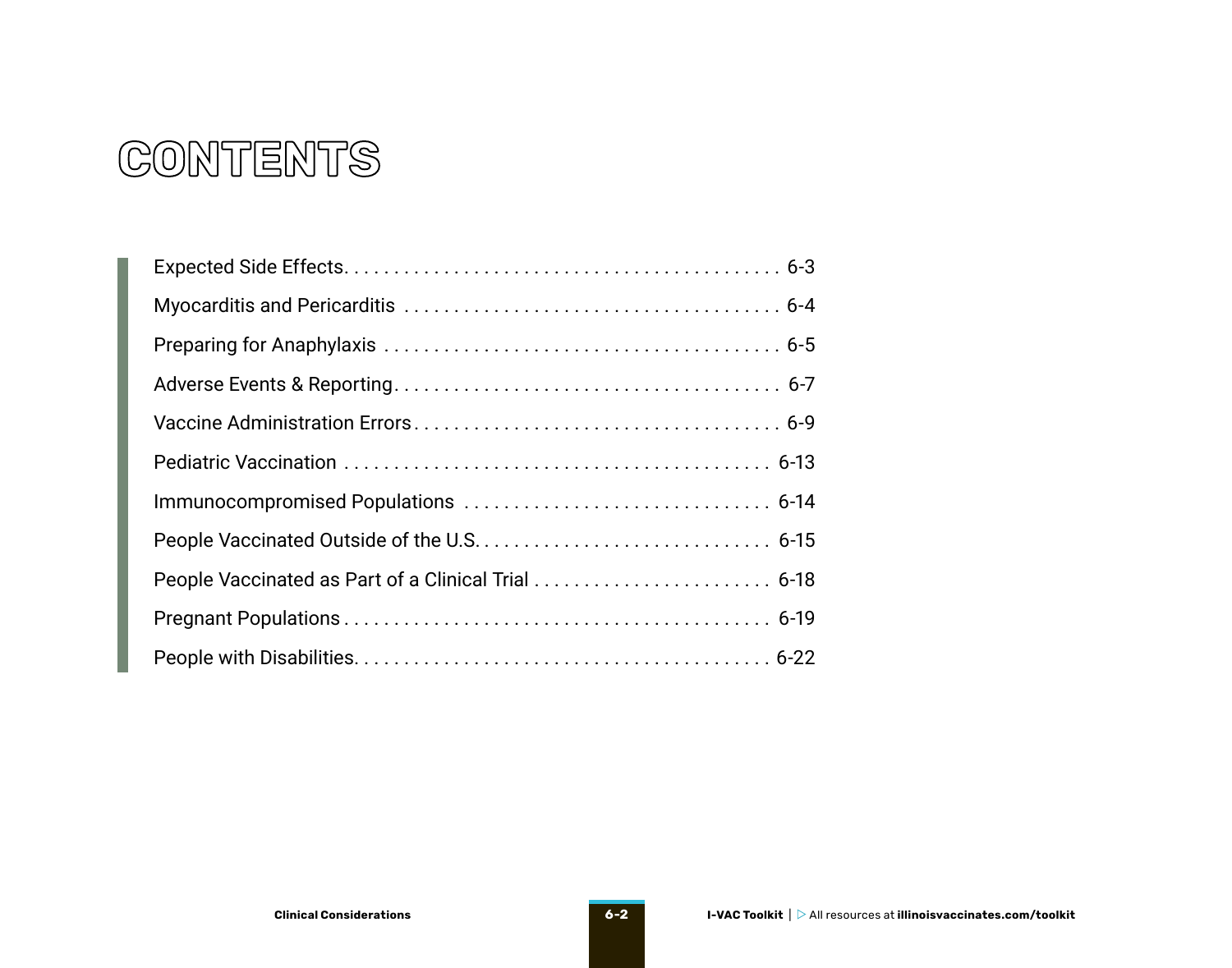### **CONTENTS**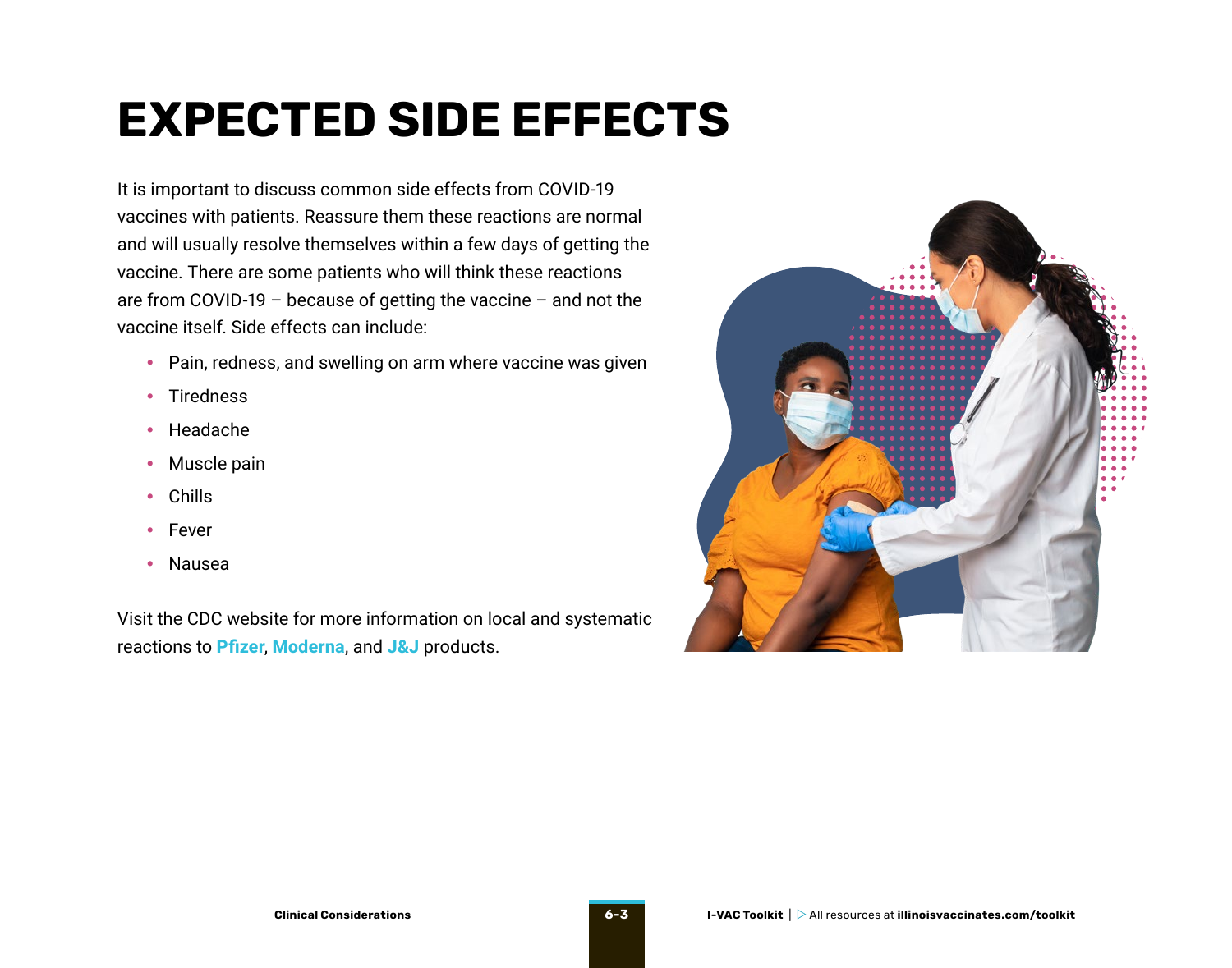## <span id="page-2-0"></span>**EXPECTED SIDE EFFECTS**

It is important to discuss common side effects from COVID-19 vaccines with patients. Reassure them these reactions are normal and will usually resolve themselves within a few days of getting the vaccine. There are some patients who will think these reactions are from COVID-19 – because of getting the vaccine – and not the vaccine itself. Side effects can include:

- Pain, redness, and swelling on arm where vaccine was given
- Tiredness
- Headache
- Muscle pain
- Chills
- Fever
- Nausea

Visit the CDC website for more information on local and systematic reactions to **[Pfizer](https://www.cdc.gov/vaccines/covid-19/info-by-product/pfizer/reactogenicity.html#:~:text=Local%20Reactions,-Among%20all%20study&text=Pain%20at%20the%20injection%20site,(77.8%25%20vs%2066.1%25).)**, **[Moderna](https://www.cdc.gov/vaccines/covid-19/info-by-product/moderna/reactogenicity.html)**, and **[J&J](https://www.cdc.gov/vaccines/covid-19/info-by-product/janssen/reactogenicity.html)** products.

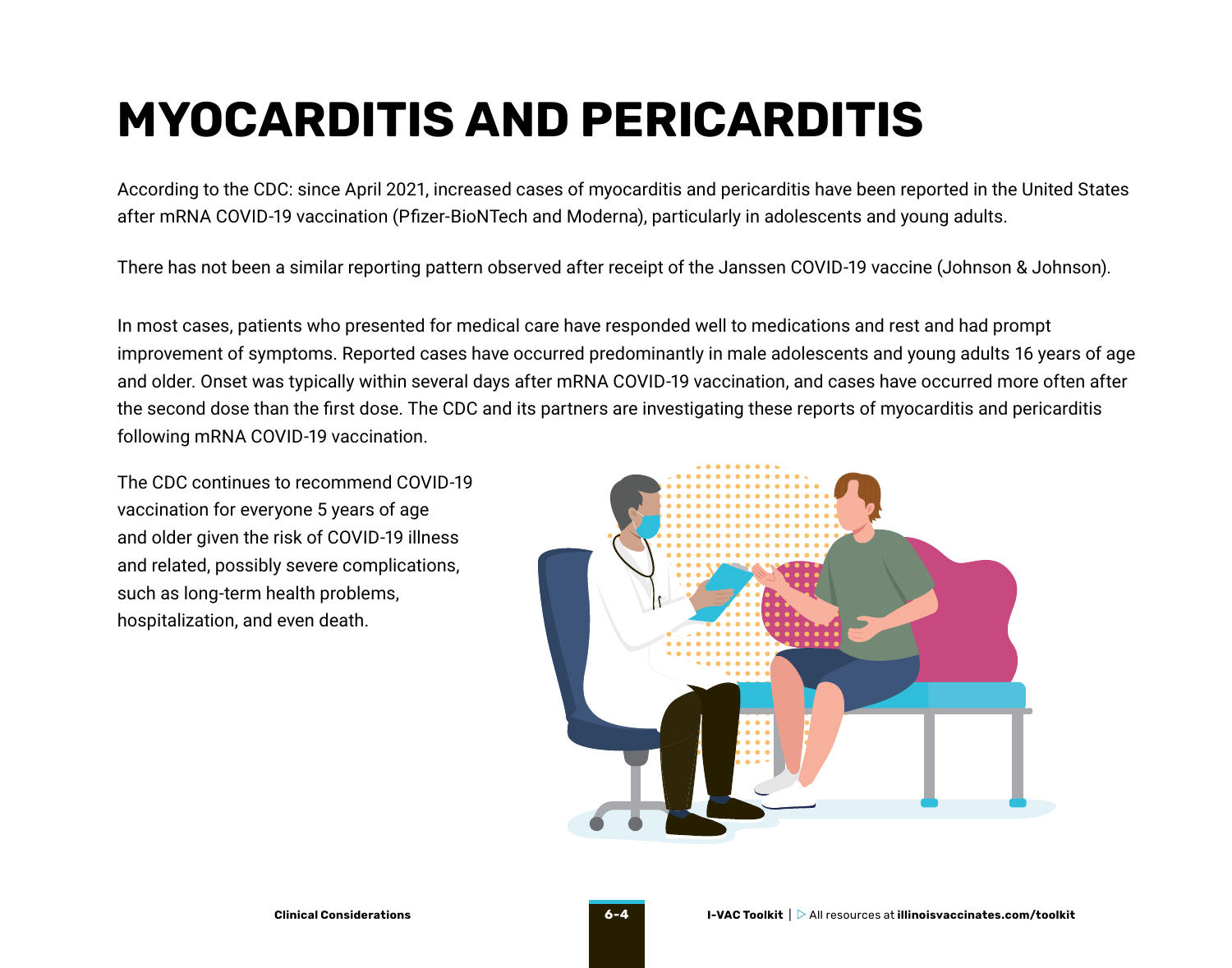## <span id="page-3-0"></span>**MYOCARDITIS AND PERICARDITIS**

According to the CDC: since April 2021, increased cases of myocarditis and pericarditis have been reported in the United States after mRNA COVID-19 vaccination (Pfizer-BioNTech and Moderna), particularly in adolescents and young adults.

There has not been a similar reporting pattern observed after receipt of the Janssen COVID-19 vaccine (Johnson & Johnson).

In most cases, patients who presented for medical care have responded well to medications and rest and had prompt improvement of symptoms. Reported cases have occurred predominantly in male adolescents and young adults 16 years of age and older. Onset was typically within several days after mRNA COVID-19 vaccination, and cases have occurred more often after the second dose than the first dose. The CDC and its partners are investigating these reports of myocarditis and pericarditis following mRNA COVID-19 vaccination.

The CDC continues to recommend COVID-19 vaccination for everyone 5 years of age and older given the risk of COVID-19 illness and related, possibly severe complications, such as long-term health problems, hospitalization, and even death.

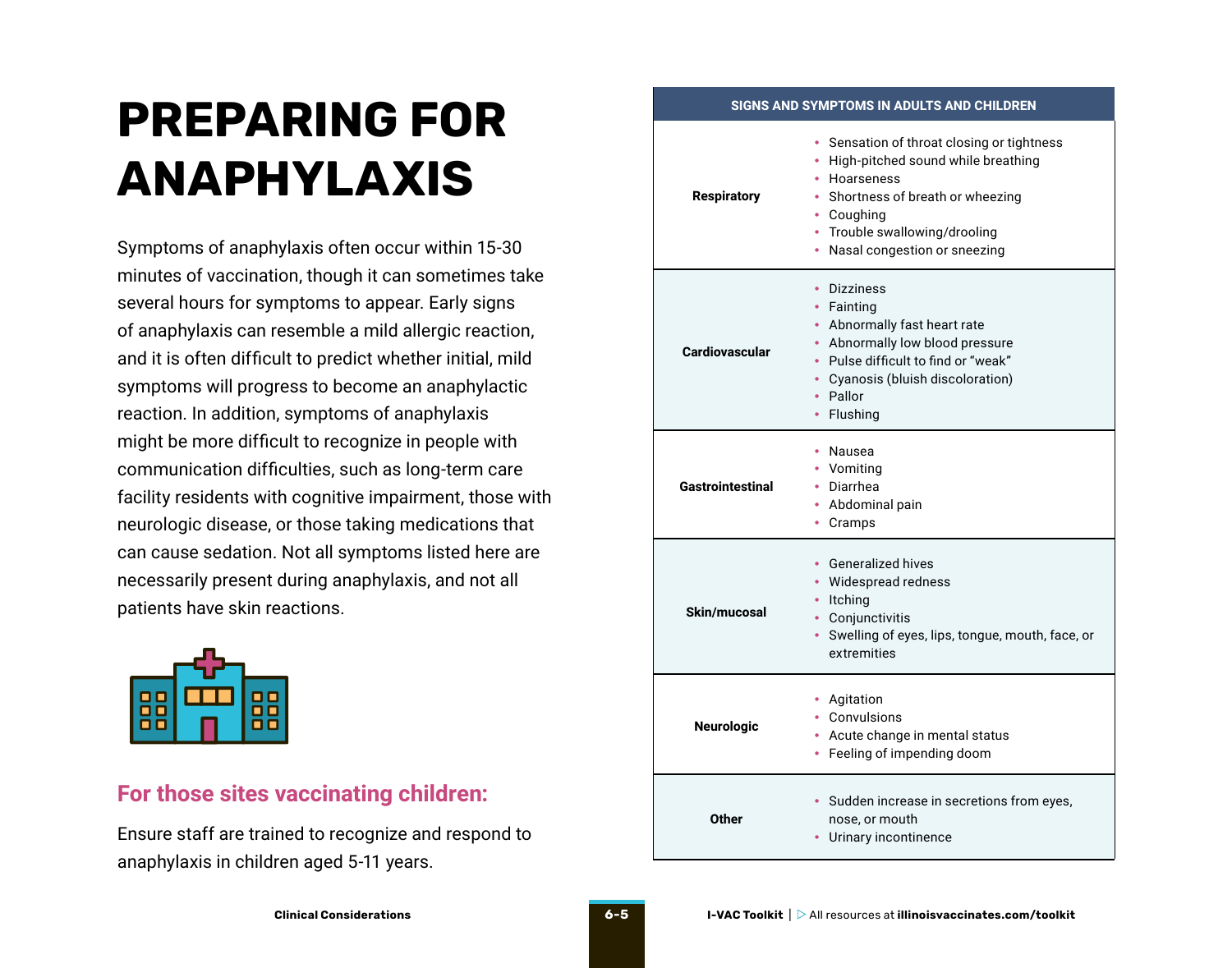## <span id="page-4-0"></span>**PREPARING FOR ANAPHYLAXIS**

Symptoms of anaphylaxis often occur within 15-30 minutes of vaccination, though it can sometimes take several hours for symptoms to appear. Early signs of anaphylaxis can resemble a mild allergic reaction, and it is often difficult to predict whether initial, mild symptoms will progress to become an anaphylactic reaction. In addition, symptoms of anaphylaxis might be more difficult to recognize in people with communication difficulties, such as long-term care facility residents with cognitive impairment, those with neurologic disease, or those taking medications that can cause sedation. Not all symptoms listed here are necessarily present during anaphylaxis, and not all patients have skin reactions.



#### **For those sites vaccinating children:**

Ensure staff are trained to recognize and respond to anaphylaxis in children aged 5-11 years.

#### **Respiratory** Sensation of throat closing or tightness • High-pitched sound while breathing • Hoarseness Shortness of breath or wheezing • Coughing • Trouble swallowing/drooling • Nasal congestion or sneezing **Cardiovascular** • Dizziness **Fainting** • Abnormally fast heart rate • Abnormally low blood pressure

**SIGNS AND SYMPTOMS IN ADULTS AND CHILDREN**

|                   | Cyanosis (bluish discoloration)<br>٠<br>Pallor<br>Flushing<br>٠                                                                              |
|-------------------|----------------------------------------------------------------------------------------------------------------------------------------------|
| Gastrointestinal  | Nausea<br>٠<br>Vomiting<br>• Diarrhea<br>Abdominal pain<br>۰<br>Cramps                                                                       |
| Skin/mucosal      | • Generalized hives<br>• Widespread redness<br>Itching<br>Conjunctivitis<br>• Swelling of eyes, lips, tongue, mouth, face, or<br>extremities |
| <b>Neurologic</b> | • Agitation<br>Convulsions<br>Acute change in mental status<br>٠<br>Feeling of impending doom<br>٠                                           |
| <b>Other</b>      | · Sudden increase in secretions from eyes,<br>nose, or mouth<br>Urinary incontinence                                                         |

• Pulse difficult to find or "weak"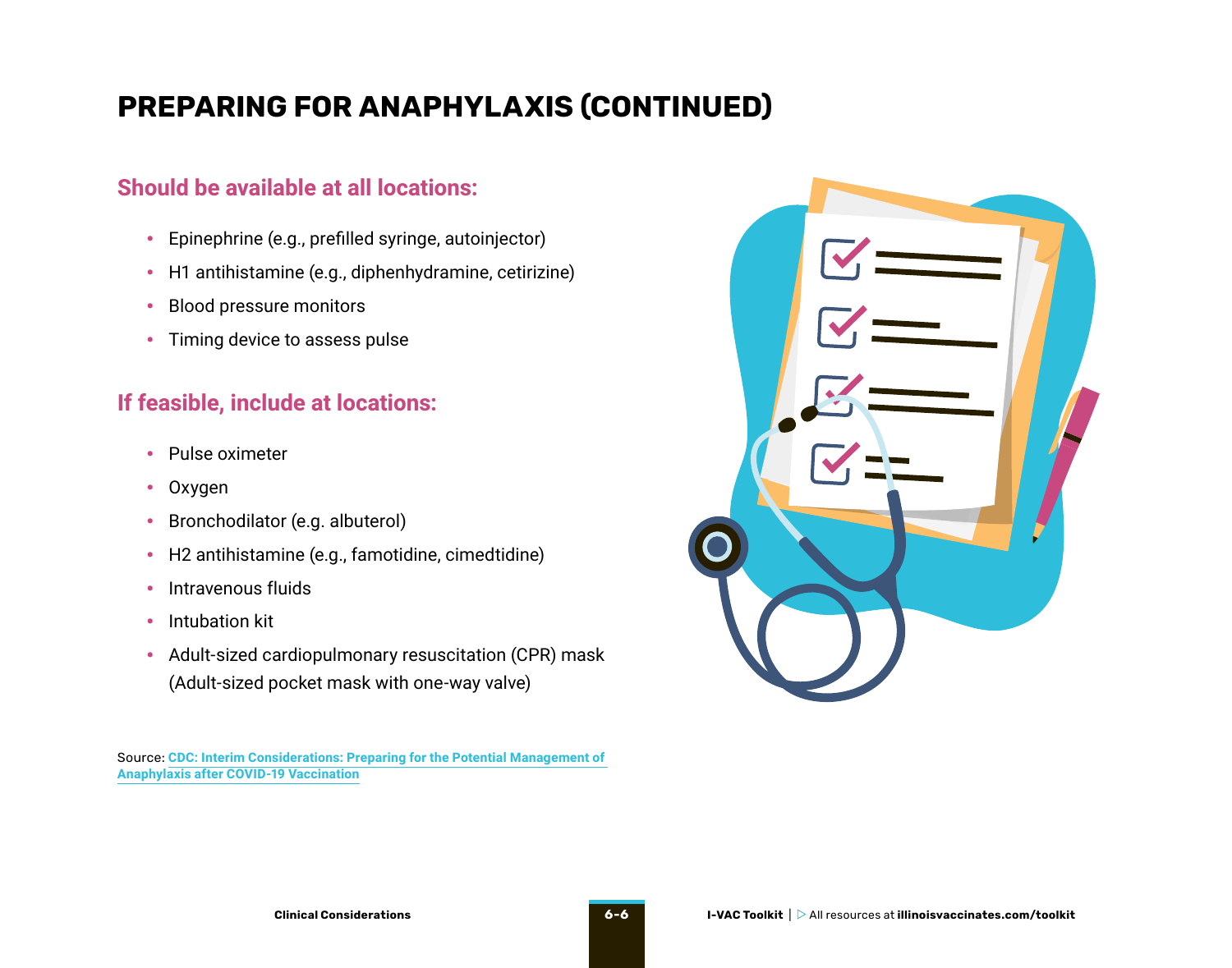### **PREPARING FOR ANAPHYLAXIS (CONTINUED)**

### **Should be available at all locations:**

- Epinephrine (e.g., prefilled syringe, autoinjector)
- H1 antihistamine (e.g., diphenhydramine, cetirizine)
- Blood pressure monitors
- Timing device to assess pulse

### **If feasible, include at locations:**

- Pulse oximeter
- Oxygen
- Bronchodilator (e.g. albuterol)
- H2 antihistamine (e.g., famotidine, cimedtidine)
- Intravenous fluids
- Intubation kit
- Adult-sized cardiopulmonary resuscitation (CPR) mask (Adult-sized pocket mask with one-way valve)

Source: **[CDC](https://www.cdc.gov/vaccines/covid-19/clinical-considerations/managing-anaphylaxis.html): Interim Considerations: Preparing for the Potential Management of Anaphylaxis after COVID-19 Vaccination**

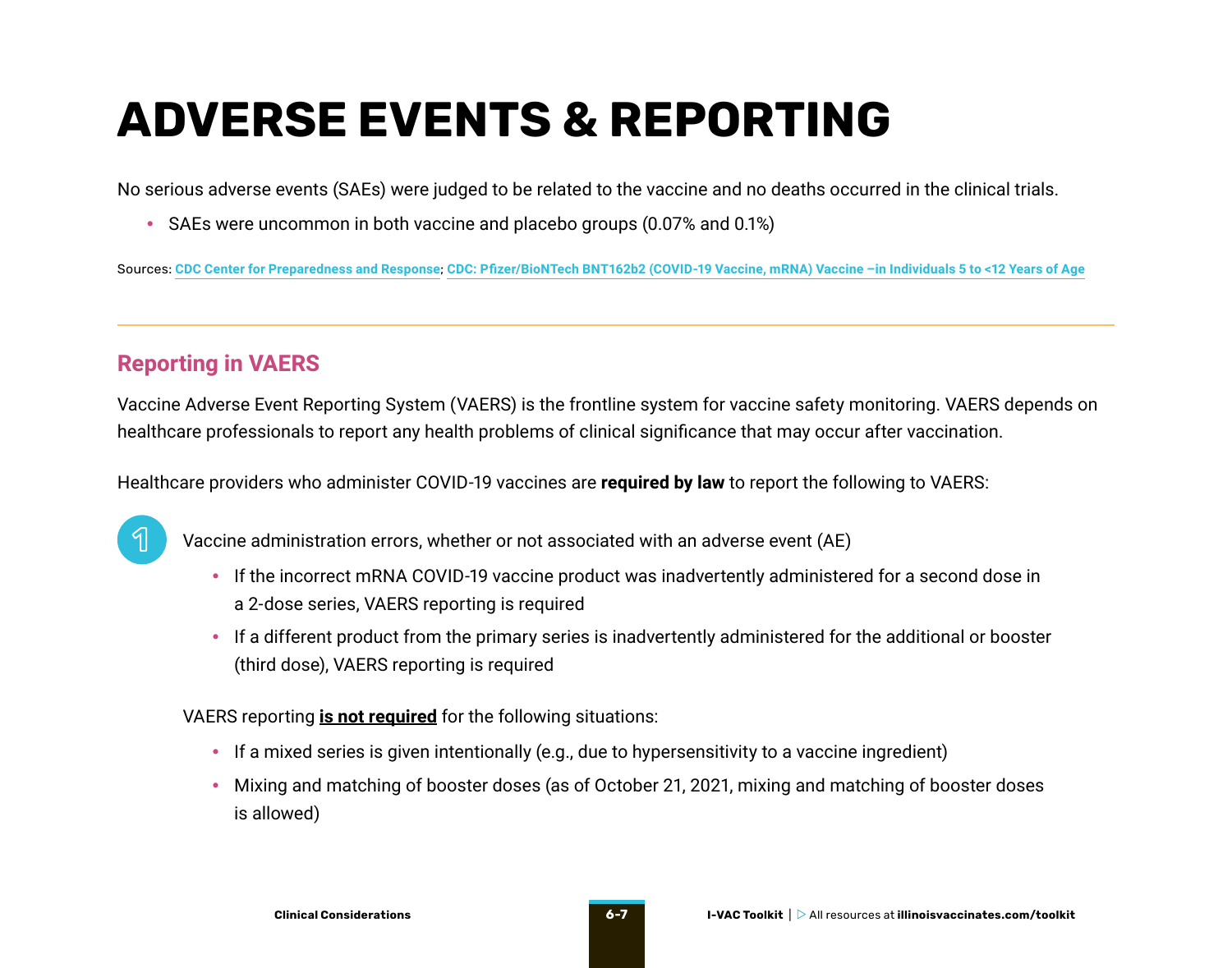## <span id="page-6-0"></span>**ADVERSE EVENTS & REPORTING**

No serious adverse events (SAEs) were judged to be related to the vaccine and no deaths occurred in the clinical trials.

• SAEs were uncommon in both vaccine and placebo groups (0.07% and 0.1%)

Sources: **[CDC Center for Preparedness and Response](https://emergency.cdc.gov/coca/ppt/2021/110421_slide.pdf)**; **[CDC](https://www.cdc.gov/vaccines/acip/meetings/downloads/slides-2021-11-2-3/02-COVID-Gurtman-508.pdf): Pfizer/BioNTech BNT162b2 (COVID-19 Vaccine, mRNA) Vaccine –in Individuals 5 to <12 Years of Age**

### **Reporting in VAERS**

Vaccine Adverse Event Reporting System (VAERS) is the frontline system for vaccine safety monitoring. VAERS depends on healthcare professionals to report any health problems of clinical significance that may occur after vaccination.

Healthcare providers who administer COVID-19 vaccines are **required by law** to report the following to VAERS:



Vaccine administration errors, whether or not associated with an adverse event (AE)

- If the incorrect mRNA COVID-19 vaccine product was inadvertently administered for a second dose in a 2-dose series, VAERS reporting is required
- If a different product from the primary series is inadvertently administered for the additional or booster (third dose), VAERS reporting is required

VAERS reporting **is not required** for the following situations:

- If a mixed series is given intentionally (e.g., due to hypersensitivity to a vaccine ingredient)
- Mixing and matching of booster doses (as of October 21, 2021, mixing and matching of booster doses is allowed)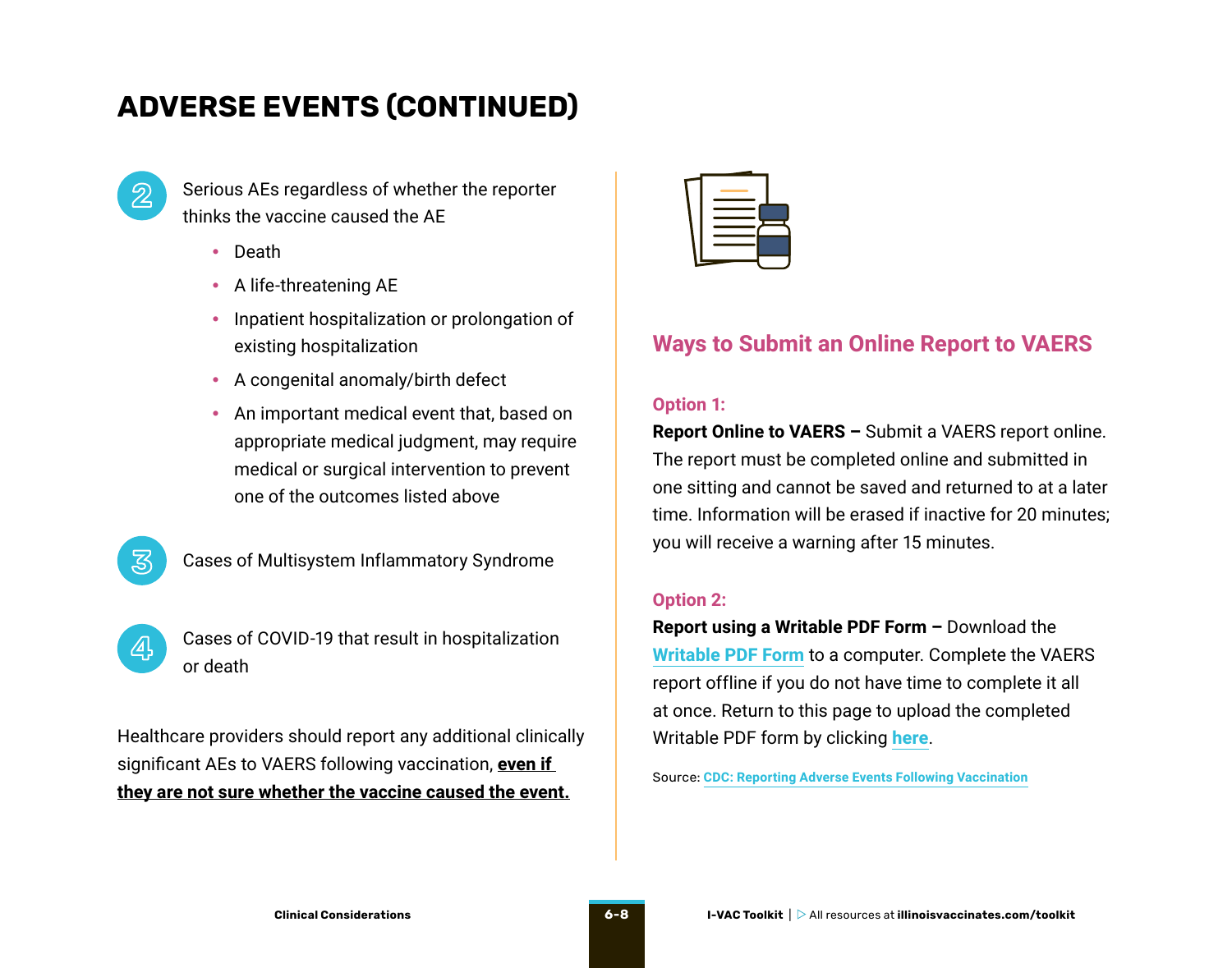### **ADVERSE EVENTS (CONTINUED)**

**2**

Serious AEs regardless of whether the reporter thinks the vaccine caused the AE

- Death
- A life-threatening AE
- Inpatient hospitalization or prolongation of existing hospitalization
- A congenital anomaly/birth defect
- An important medical event that, based on appropriate medical judgment, may require medical or surgical intervention to prevent one of the outcomes listed above
- **又**
- Cases of Multisystem Inflammatory Syndrome
- **4**
- Cases of COVID-19 that result in hospitalization or death

Healthcare providers should report any additional clinically significant AEs to VAERS following vaccination, **even if they are not sure whether the vaccine caused the event.**



### **Ways to Submit an Online Report to VAERS**

#### **Option 1:**

**Report Online to VAERS –** Submit a VAERS report online. The report must be completed online and submitted in one sitting and cannot be saved and returned to at a later time. Information will be erased if inactive for 20 minutes; you will receive a warning after 15 minutes.

#### **Option 2:**

**Report using a Writable PDF Form –** Download the **[Writable PDF Form](https://vaers.hhs.gov/uploadFile/index.jsp)** to a computer. Complete the VAERS report offline if you do not have time to complete it all at once. Return to this page to upload the completed Writable PDF form by clicking **[here](https://vaers.hhs.gov/uploadFile/index.jsp)**.

Source: **[CDC: Reporting Adverse Events Following Vaccination](https://www.cdc.gov/vaccinesafety/hcproviders/reportingadverseevents.html)**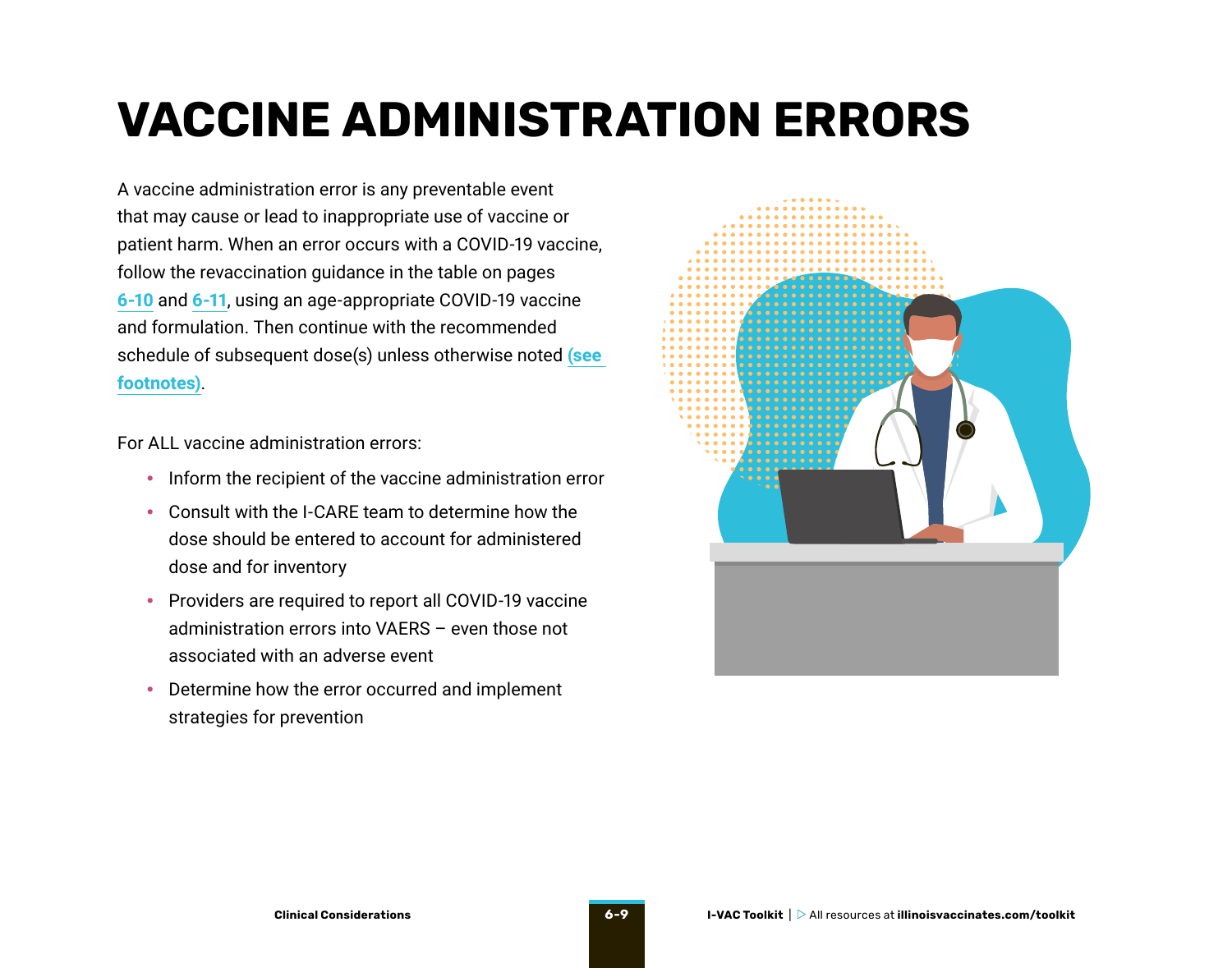## <span id="page-8-0"></span>**VACCINE ADMINISTRATION ERRORS**

A vaccine administration error is any preventable event that may cause or lead to inappropriate use of vaccine or patient harm. When an error occurs with a COVID-19 vaccine, follow the revaccination guidance in the table on pages **[6-10](#page-9-0)** and **[6-11](#page-10-0)**, using an age-appropriate COVID-19 vaccine and formulation. Then continue with the recommended schedule of subsequent dose(s) unless otherwise noted **[\(see](#page-11-0)  [footnotes\)](#page-11-0)**.

For ALL vaccine administration errors:

- Inform the recipient of the vaccine administration error
- Consult with the I-CARE team to determine how the dose should be entered to account for administered dose and for inventory
- Providers are required to report all COVID-19 vaccine administration errors into VAERS – even those not associated with an adverse event
- Determine how the error occurred and implement strategies for prevention

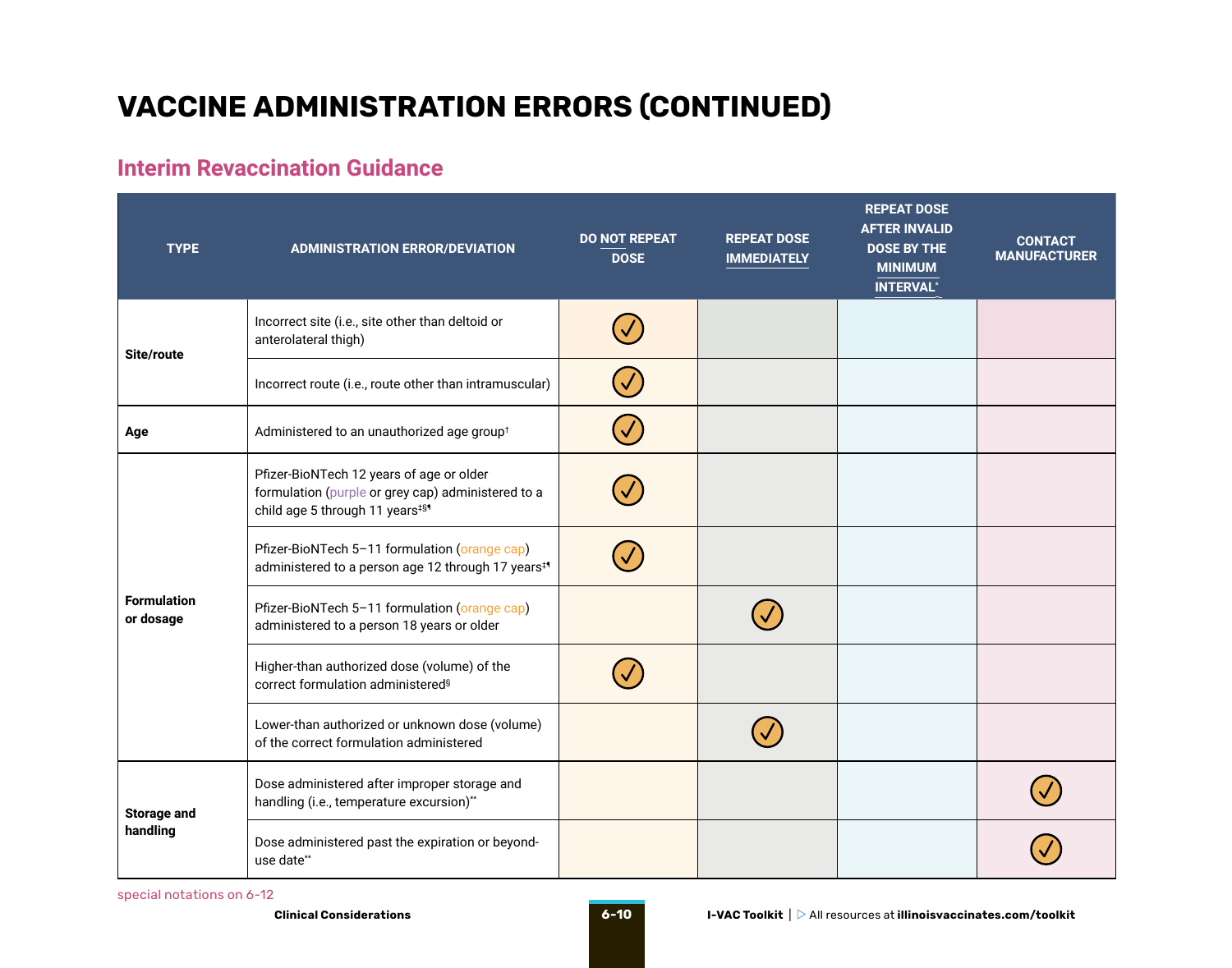### <span id="page-9-0"></span>**VACCINE ADMINISTRATION ERRORS (CONTINUED)**

### **Interim Revaccination Guidance**

| <b>TYPE</b>                     | <b>ADMINISTRATION ERROR/DEVIATION</b>                                                                                                        | <b>DO NOT REPEAT</b><br><b>DOSE</b> | <b>REPEAT DOSE</b><br><b>IMMEDIATELY</b> | <b>REPEAT DOSE</b><br><b>AFTER INVALID</b><br><b>DOSE BY THE</b><br><b>MINIMUM</b><br><b>INTERVAL*</b> | <b>CONTACT</b><br><b>MANUFACTURER</b> |
|---------------------------------|----------------------------------------------------------------------------------------------------------------------------------------------|-------------------------------------|------------------------------------------|--------------------------------------------------------------------------------------------------------|---------------------------------------|
| Site/route                      | Incorrect site (i.e., site other than deltoid or<br>anterolateral thigh)                                                                     |                                     |                                          |                                                                                                        |                                       |
|                                 | Incorrect route (i.e., route other than intramuscular)                                                                                       |                                     |                                          |                                                                                                        |                                       |
| Age                             | Administered to an unauthorized age group <sup>t</sup>                                                                                       |                                     |                                          |                                                                                                        |                                       |
| <b>Formulation</b><br>or dosage | Pfizer-BioNTech 12 years of age or older<br>formulation (purple or grey cap) administered to a<br>child age 5 through 11 years <sup>#§</sup> |                                     |                                          |                                                                                                        |                                       |
|                                 | Pfizer-BioNTech 5-11 formulation (orange cap)<br>administered to a person age 12 through 17 years <sup>#</sup>                               |                                     |                                          |                                                                                                        |                                       |
|                                 | Pfizer-BioNTech 5-11 formulation (orange cap)<br>administered to a person 18 years or older                                                  |                                     |                                          |                                                                                                        |                                       |
|                                 | Higher-than authorized dose (volume) of the<br>correct formulation administered <sup>§</sup>                                                 |                                     |                                          |                                                                                                        |                                       |
|                                 | Lower-than authorized or unknown dose (volume)<br>of the correct formulation administered                                                    |                                     |                                          |                                                                                                        |                                       |
| <b>Storage and</b><br>handling  | Dose administered after improper storage and<br>handling (i.e., temperature excursion)**                                                     |                                     |                                          |                                                                                                        |                                       |
|                                 | Dose administered past the expiration or beyond-<br>use date**                                                                               |                                     |                                          |                                                                                                        |                                       |

special notations on [6-12](#page-11-0)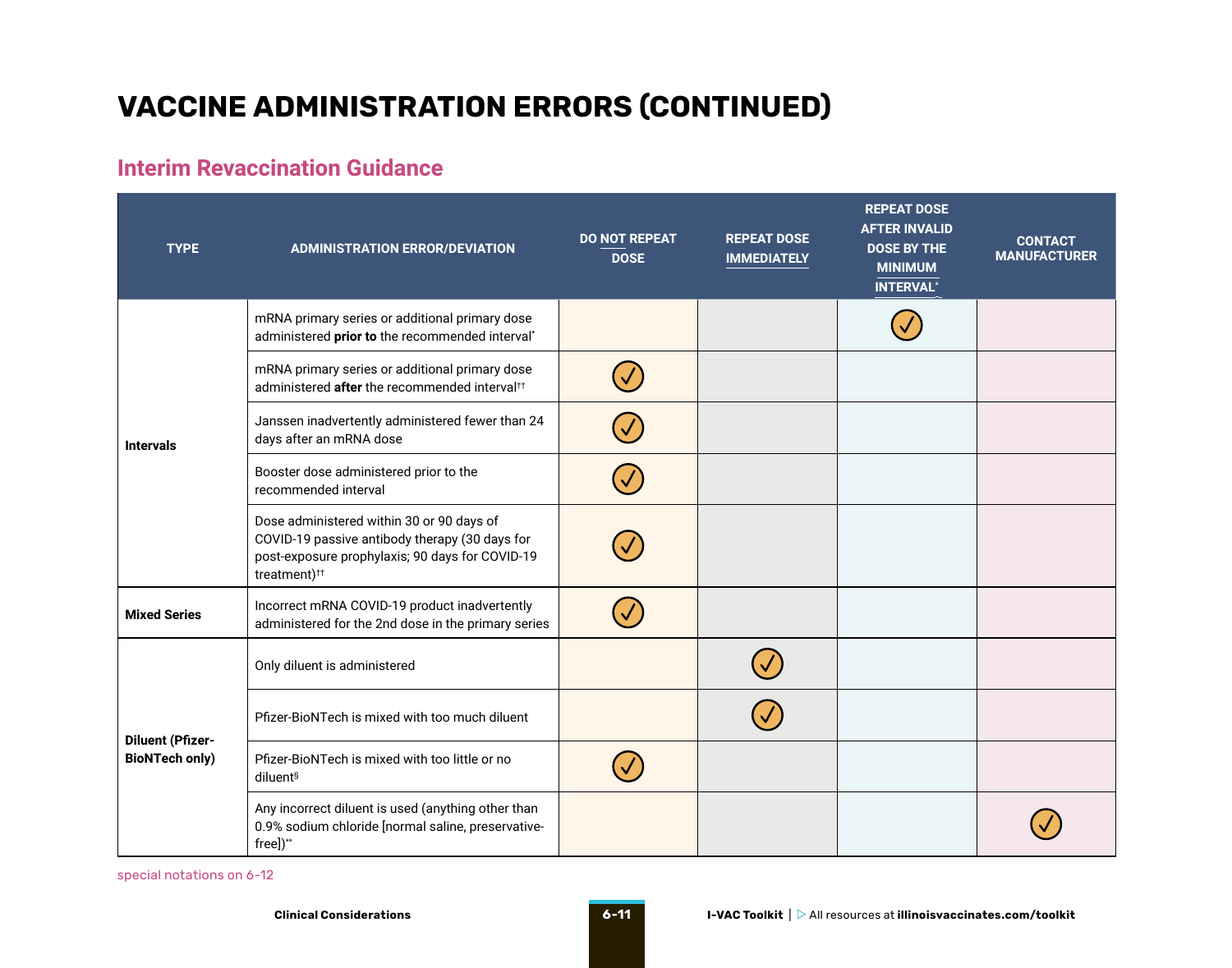### <span id="page-10-0"></span>**VACCINE ADMINISTRATION ERRORS (CONTINUED)**

### **Interim Revaccination Guidance**

| <b>TYPE</b>                                      | <b>ADMINISTRATION ERROR/DEVIATION</b>                                                                                                                                      | <b>DO NOT REPEAT</b><br><b>DOSE</b> | <b>REPEAT DOSE</b><br><b>IMMEDIATELY</b> | <b>REPEAT DOSE</b><br><b>AFTER INVALID</b><br><b>DOSE BY THE</b><br><b>MINIMUM</b><br><b>INTERVAL*</b> | <b>CONTACT</b><br><b>MANUFACTURER</b> |
|--------------------------------------------------|----------------------------------------------------------------------------------------------------------------------------------------------------------------------------|-------------------------------------|------------------------------------------|--------------------------------------------------------------------------------------------------------|---------------------------------------|
|                                                  | mRNA primary series or additional primary dose<br>administered prior to the recommended interval*                                                                          |                                     |                                          |                                                                                                        |                                       |
| <b>Intervals</b>                                 | mRNA primary series or additional primary dose<br>administered after the recommended interval <sup>tt</sup>                                                                |                                     |                                          |                                                                                                        |                                       |
|                                                  | Janssen inadvertently administered fewer than 24<br>days after an mRNA dose                                                                                                |                                     |                                          |                                                                                                        |                                       |
|                                                  | Booster dose administered prior to the<br>recommended interval                                                                                                             |                                     |                                          |                                                                                                        |                                       |
|                                                  | Dose administered within 30 or 90 days of<br>COVID-19 passive antibody therapy (30 days for<br>post-exposure prophylaxis; 90 days for COVID-19<br>treatment) <sup>††</sup> |                                     |                                          |                                                                                                        |                                       |
| <b>Mixed Series</b>                              | Incorrect mRNA COVID-19 product inadvertently<br>administered for the 2nd dose in the primary series                                                                       |                                     |                                          |                                                                                                        |                                       |
| <b>Diluent (Pfizer-</b><br><b>BioNTech only)</b> | Only diluent is administered                                                                                                                                               |                                     |                                          |                                                                                                        |                                       |
|                                                  | Pfizer-BioNTech is mixed with too much diluent                                                                                                                             |                                     |                                          |                                                                                                        |                                       |
|                                                  | Pfizer-BioNTech is mixed with too little or no<br>diluent <sup>§</sup>                                                                                                     |                                     |                                          |                                                                                                        |                                       |
|                                                  | Any incorrect diluent is used (anything other than<br>0.9% sodium chloride [normal saline, preservative-<br>free])**                                                       |                                     |                                          |                                                                                                        |                                       |

special notations o[n 6-12](#page-11-0)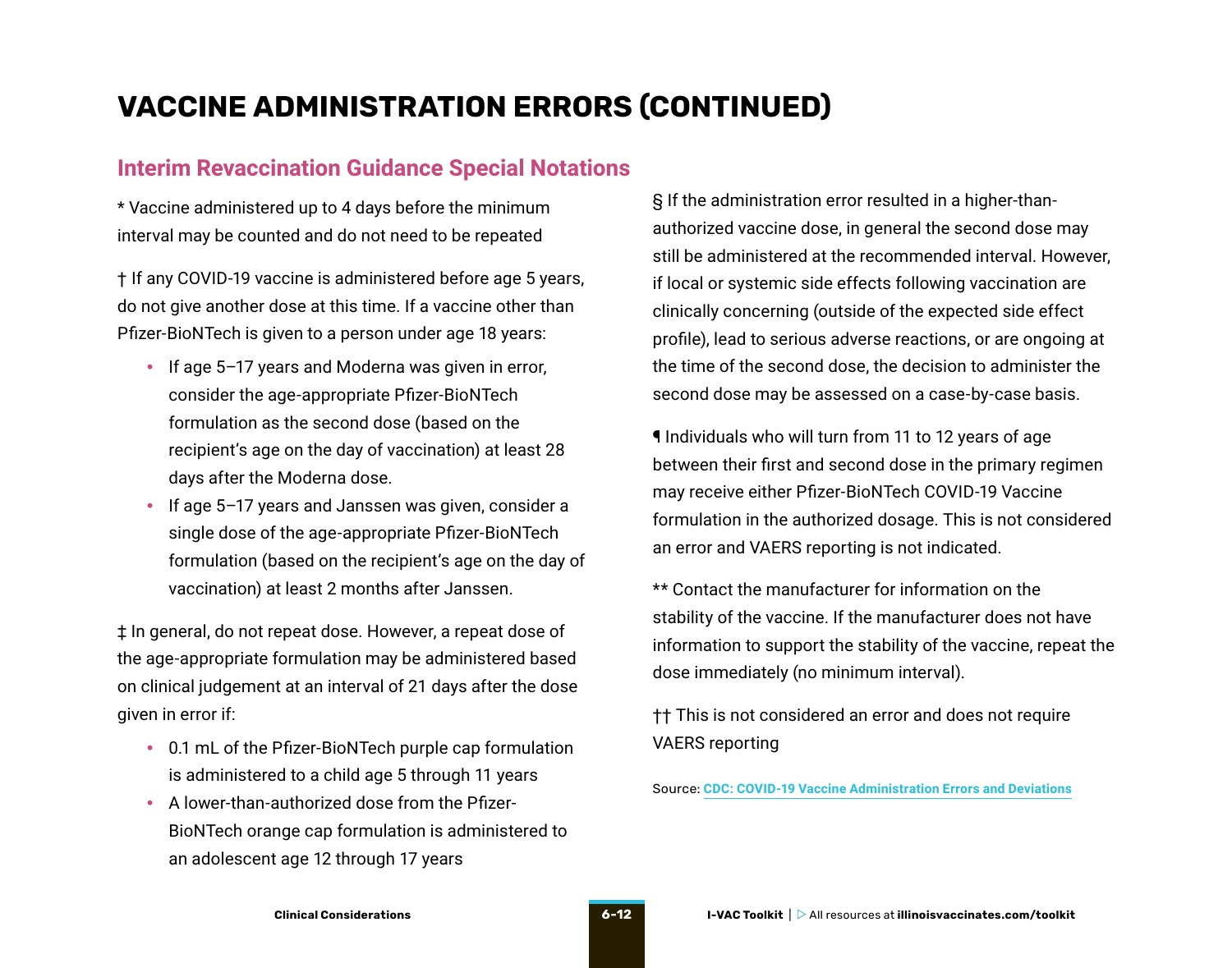### <span id="page-11-0"></span>**VACCINE ADMINISTRATION ERRORS (CONTINUED)**

#### **Interim Revaccination Guidance Special Notations**

\* Vaccine administered up to 4 days before the minimum interval may be counted and do not need to be repeated

† If any COVID-19 vaccine is administered before age 5 years, do not give another dose at this time. If a vaccine other than Pfizer-BioNTech is given to a person under age 18 years:

- If age 5-17 years and Moderna was given in error, consider the age-appropriate Pfizer-BioNTech formulation as the second dose (based on the recipient's age on the day of vaccination) at least 28 days after the Moderna dose.
- If age 5–17 years and Janssen was given, consider a single dose of the age-appropriate Pfizer-BioNTech formulation (based on the recipient's age on the day of vaccination) at least 2 months after Janssen.

‡ In general, do not repeat dose. However, a repeat dose of the age-appropriate formulation may be administered based on clinical judgement at an interval of 21 days after the dose given in error if:

- 0.1 mL of the Pfizer-BioNTech purple cap formulation is administered to a child age 5 through 11 years
- A lower-than-authorized dose from the Pfizer-BioNTech orange cap formulation is administered to an adolescent age 12 through 17 years

§ If the administration error resulted in a higher-thanauthorized vaccine dose, in general the second dose may still be administered at the recommended interval. However, if local or systemic side effects following vaccination are clinically concerning (outside of the expected side effect profile), lead to serious adverse reactions, or are ongoing at the time of the second dose, the decision to administer the second dose may be assessed on a case-by-case basis.

¶ Individuals who will turn from 11 to 12 years of age between their first and second dose in the primary regimen may receive either Pfizer-BioNTech COVID-19 Vaccine formulation in the authorized dosage. This is not considered an error and VAERS reporting is not indicated.

\*\* Contact the manufacturer for information on the stability of the vaccine. If the manufacturer does not have information to support the stability of the vaccine, repeat the dose immediately (no minimum interval).

†† This is not considered an error and does not require VAERS reporting

Source: **[CDC: COVID-19 Vaccine Administration Errors and Deviations](https://www.cdc.gov/vaccines/covid-19/downloads/covid19-vaccine-errors-deviations.pdf)**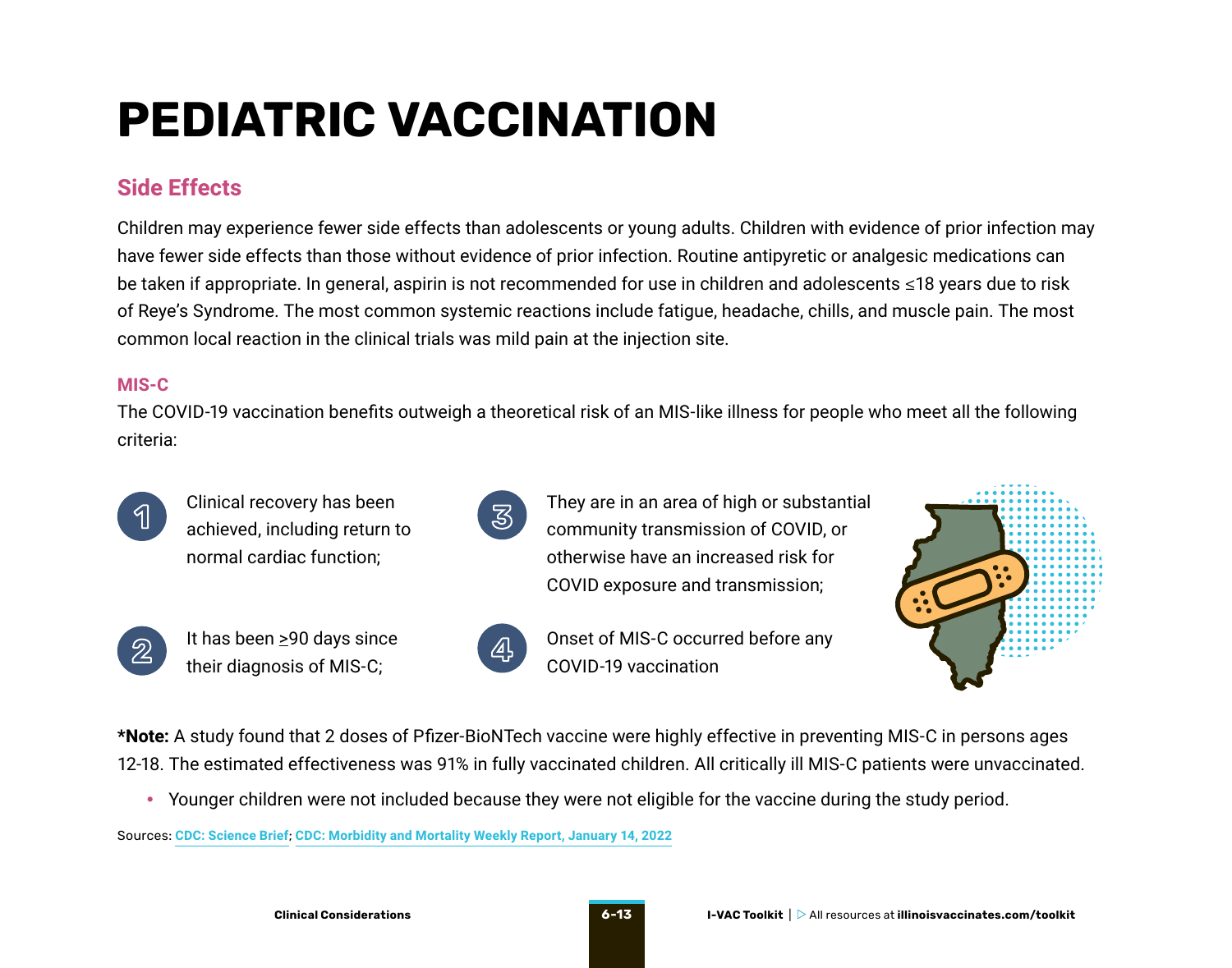## <span id="page-12-0"></span>**PEDIATRIC VACCINATION**

### **Side Effects**

Children may experience fewer side effects than adolescents or young adults. Children with evidence of prior infection may have fewer side effects than those without evidence of prior infection. Routine antipyretic or analgesic medications can be taken if appropriate. In general, aspirin is not recommended for use in children and adolescents ≤18 years due to risk of Reye's Syndrome. The most common systemic reactions include fatigue, headache, chills, and muscle pain. The most common local reaction in the clinical trials was mild pain at the injection site.

#### **MIS-C**

The COVID-19 vaccination benefits outweigh a theoretical risk of an MIS-like illness for people who meet all the following criteria:



Clinical recovery has been achieved, including return to normal cardiac function;



It has been  $\geq$ 90 days since their diagnosis of MIS-C;



They are in an area of high or substantial community transmission of COVID, or otherwise have an increased risk for COVID exposure and transmission;



**4** Onset of MIS-C occurred before any COVID-19 vaccination



**\*Note:** A study found that 2 doses of Pfizer-BioNTech vaccine were highly effective in preventing MIS-C in persons ages 12-18. The estimated effectiveness was 91% in fully vaccinated children. All critically ill MIS-C patients were unvaccinated.

• Younger children were not included because they were not eligible for the vaccine during the study period.

Sources: **[CDC: Science Brief](https://www.cdc.gov/coronavirus/2019-ncov/science/science-briefs/vaccine-induced-immunity.html)**; **[CDC: Morbidity and Mortality Weekly Report, January 14, 2022](https://www.cdc.gov/mmwr/volumes/71/wr/pdfs/mm7102e1-H.pdf)**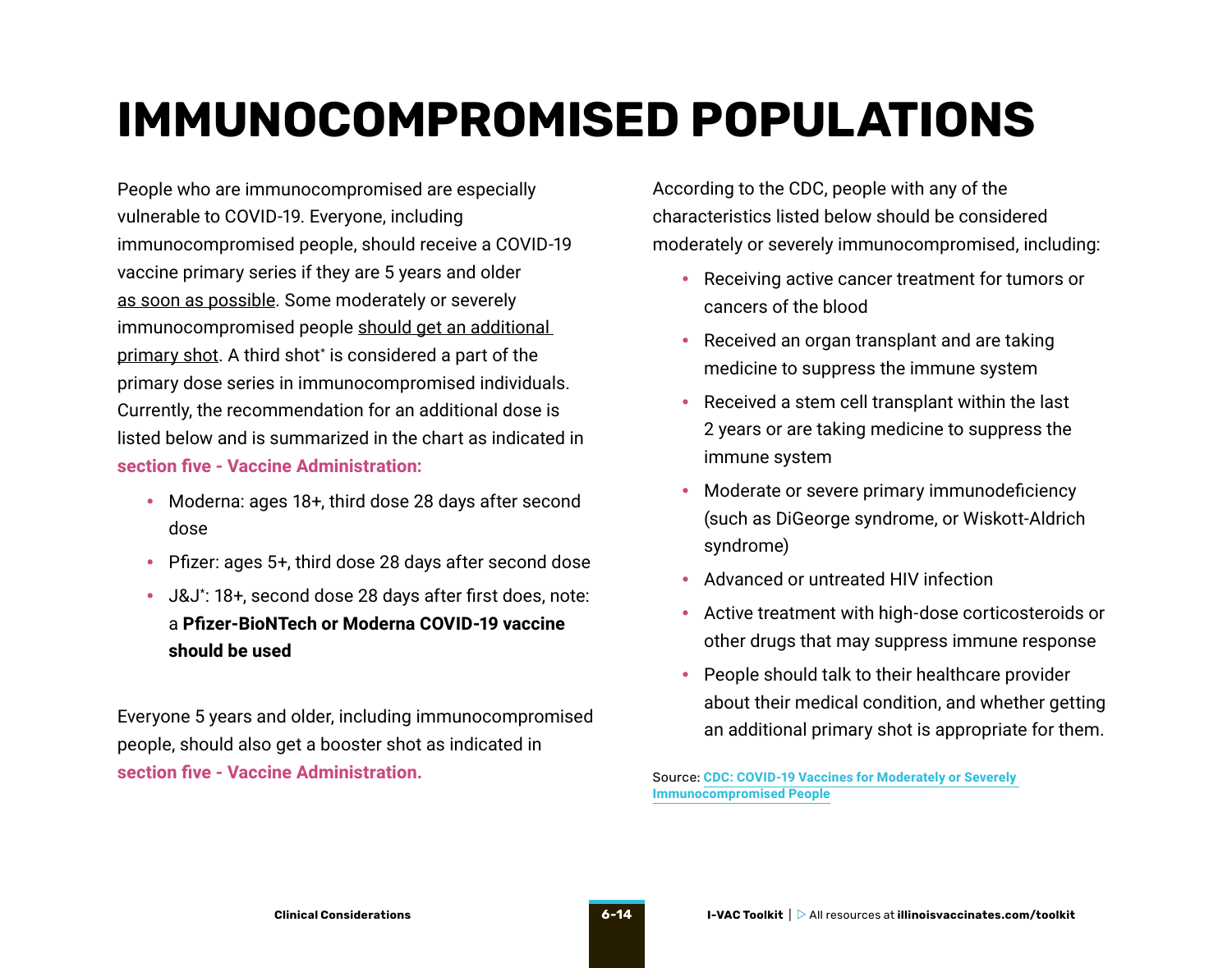## <span id="page-13-0"></span>**IMMUNOCOMPROMISED POPULATIONS**

People who are immunocompromised are especially vulnerable to COVID-19. Everyone, including immunocompromised people, should receive a COVID-19 vaccine primary series if they are 5 years and older as soon as possible. Some moderately or severely immunocompromised people should get an additional primary shot. A third shot\* is considered a part of the primary dose series in immunocompromised individuals. Currently, the recommendation for an additional dose is listed below and is summarized in the chart as indicated in **section five - Vaccine Administration:**

- Moderna: ages 18+, third dose 28 days after second dose
- Pfizer: ages 5+, third dose 28 days after second dose
- J&J\* : 18+, second dose 28 days after first does, note: a **Pfizer-BioNTech or Moderna COVID-19 vaccine should be used**

Everyone 5 years and older, including immunocompromised people, should also get a booster shot as indicated in **section five - Vaccine Administration.**

According to the CDC, people with any of the characteristics listed below should be considered moderately or severely immunocompromised, including:

- Receiving active cancer treatment for tumors or cancers of the blood
- Received an organ transplant and are taking medicine to suppress the immune system
- Received a stem cell transplant within the last 2 years or are taking medicine to suppress the immune system
- Moderate or severe primary immunodeficiency (such as DiGeorge syndrome, or Wiskott-Aldrich syndrome)
- Advanced or untreated HIV infection
- Active treatment with high-dose corticosteroids or other drugs that may suppress immune response
- People should talk to their healthcare provider about their medical condition, and whether getting an additional primary shot is appropriate for them.

Source: **[CDC: COVID-19 Vaccines for Moderately or Severely](https://www.cdc.gov/coronavirus/2019-ncov/vaccines/recommendations/immuno.html?s_cid=10483:covid%20vaccine%20and%20immunocompromised:sem.ga:p:RG:GM:gen:PTN:FY21)  [Immunocompromised People](https://www.cdc.gov/coronavirus/2019-ncov/vaccines/recommendations/immuno.html?s_cid=10483:covid%20vaccine%20and%20immunocompromised:sem.ga:p:RG:GM:gen:PTN:FY21)**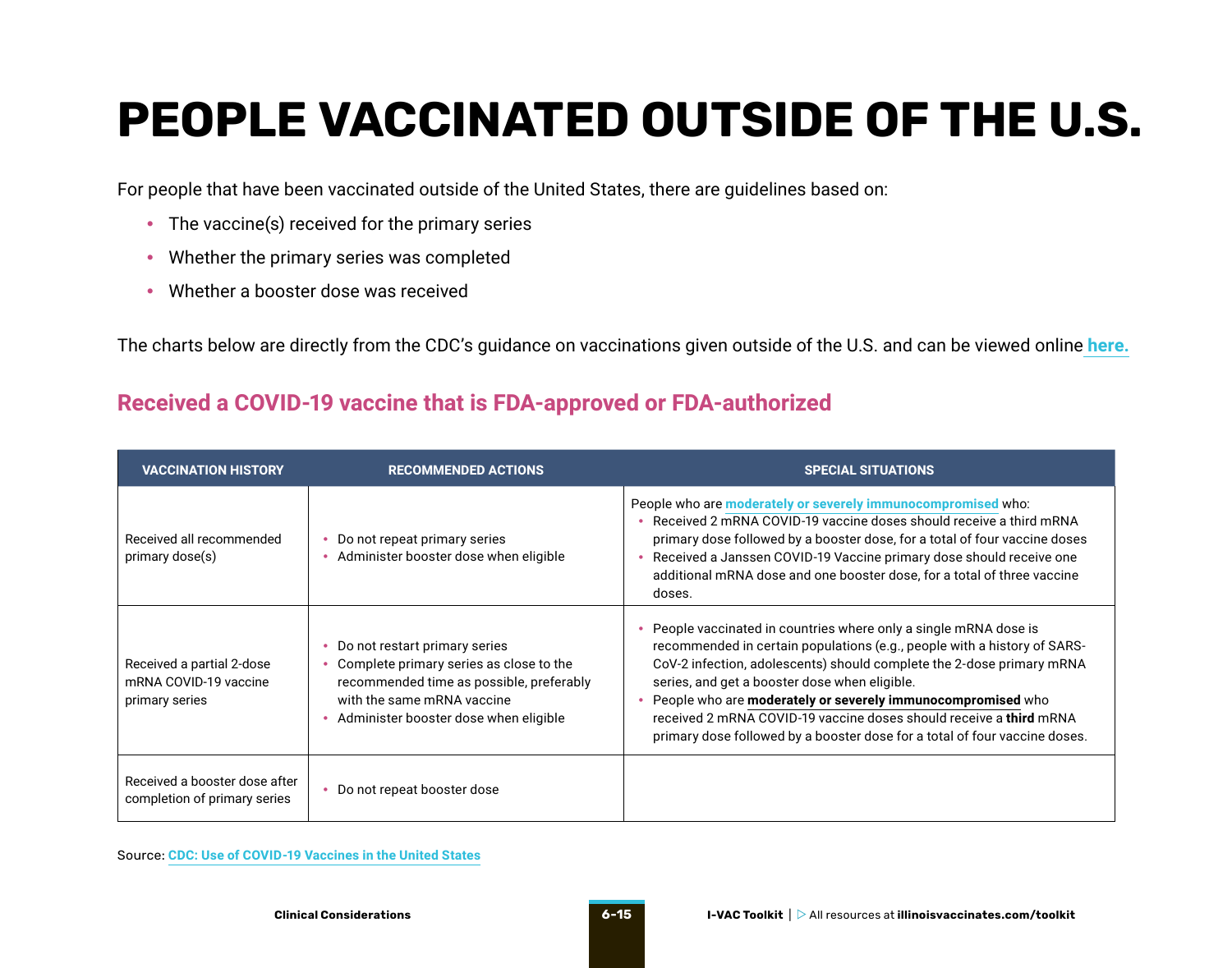## <span id="page-14-0"></span>**PEOPLE VACCINATED OUTSIDE OF THE U.S.**

For people that have been vaccinated outside of the United States, there are guidelines based on:

- The vaccine(s) received for the primary series
- Whether the primary series was completed
- Whether a booster dose was received

The charts below are directly from the CDC's guidance on vaccinations given outside of the U.S. and can be viewed online **[here.](https://www.cdc.gov/vaccines/covid-19/clinical-considerations/covid-19-vaccines-us.html#appendix-e)**

#### **Received a COVID-19 vaccine that is FDA-approved or FDA-authorized**

| <b>VACCINATION HISTORY</b>                                           | <b>RECOMMENDED ACTIONS</b>                                                                                                                                                                  | <b>SPECIAL SITUATIONS</b>                                                                                                                                                                                                                                                                                                                                                                                                                                                                  |
|----------------------------------------------------------------------|---------------------------------------------------------------------------------------------------------------------------------------------------------------------------------------------|--------------------------------------------------------------------------------------------------------------------------------------------------------------------------------------------------------------------------------------------------------------------------------------------------------------------------------------------------------------------------------------------------------------------------------------------------------------------------------------------|
| Received all recommended<br>primary dose(s)                          | Do not repeat primary series<br>Administer booster dose when eligible                                                                                                                       | People who are moderately or severely immunocompromised who:<br>• Received 2 mRNA COVID-19 vaccine doses should receive a third mRNA<br>primary dose followed by a booster dose, for a total of four vaccine doses<br>• Received a Janssen COVID-19 Vaccine primary dose should receive one<br>additional mRNA dose and one booster dose, for a total of three vaccine<br>doses.                                                                                                           |
| Received a partial 2-dose<br>mRNA COVID-19 vaccine<br>primary series | Do not restart primary series<br>Complete primary series as close to the<br>recommended time as possible, preferably<br>with the same mRNA vaccine<br>Administer booster dose when eligible | People vaccinated in countries where only a single mRNA dose is<br>recommended in certain populations (e.g., people with a history of SARS-<br>CoV-2 infection, adolescents) should complete the 2-dose primary mRNA<br>series, and get a booster dose when eligible.<br>• People who are moderately or severely immunocompromised who<br>received 2 mRNA COVID-19 vaccine doses should receive a third mRNA<br>primary dose followed by a booster dose for a total of four vaccine doses. |
| Received a booster dose after<br>completion of primary series        | Do not repeat booster dose                                                                                                                                                                  |                                                                                                                                                                                                                                                                                                                                                                                                                                                                                            |

Source: **[CDC: Use of COVID-19 Vaccines in the United States](https://www.cdc.gov/vaccines/covid-19/clinical-considerations/covid-19-vaccines-us.html#appendix-e)**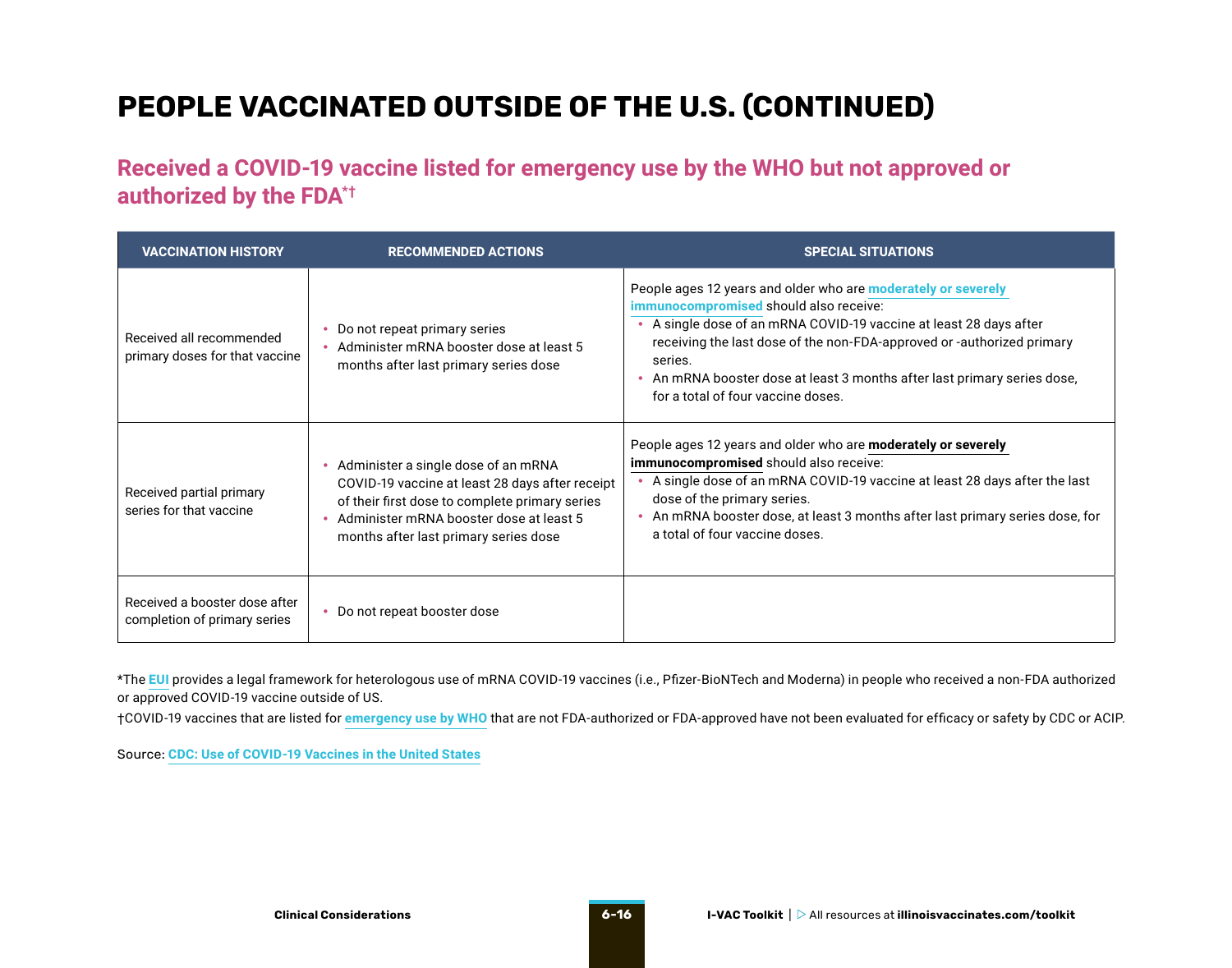### **PEOPLE VACCINATED OUTSIDE OF THE U.S. (CONTINUED)**

**Received a COVID-19 vaccine listed for emergency use by the WHO but not approved or authorized by the FDA\*†**

| <b>VACCINATION HISTORY</b>                                    | <b>RECOMMENDED ACTIONS</b>                                                                                                                                                                                                        | <b>SPECIAL SITUATIONS</b>                                                                                                                                                                                                                                                                                                                                                                   |
|---------------------------------------------------------------|-----------------------------------------------------------------------------------------------------------------------------------------------------------------------------------------------------------------------------------|---------------------------------------------------------------------------------------------------------------------------------------------------------------------------------------------------------------------------------------------------------------------------------------------------------------------------------------------------------------------------------------------|
| Received all recommended<br>primary doses for that vaccine    | Do not repeat primary series<br>Administer mRNA booster dose at least 5<br>months after last primary series dose                                                                                                                  | People ages 12 years and older who are <b>moderately or severely</b><br>immunocompromised should also receive:<br>• A single dose of an mRNA COVID-19 vaccine at least 28 days after<br>receiving the last dose of the non-FDA-approved or -authorized primary<br>series.<br>• An mRNA booster dose at least 3 months after last primary series dose,<br>for a total of four vaccine doses. |
| Received partial primary<br>series for that vaccine           | Administer a single dose of an mRNA<br>٠<br>COVID-19 vaccine at least 28 days after receipt<br>of their first dose to complete primary series<br>Administer mRNA booster dose at least 5<br>months after last primary series dose | People ages 12 years and older who are <b>moderately or severely</b><br>immunocompromised should also receive:<br>• A single dose of an mRNA COVID-19 vaccine at least 28 days after the last<br>dose of the primary series.<br>• An mRNA booster dose, at least 3 months after last primary series dose, for<br>a total of four vaccine doses.                                             |
| Received a booster dose after<br>completion of primary series | • Do not repeat booster dose                                                                                                                                                                                                      |                                                                                                                                                                                                                                                                                                                                                                                             |

\*The **[EUI](https://www.cdc.gov/vaccines/covid-19/eui/index.html)** provides a legal framework for heterologous use of mRNA COVID-19 vaccines (i.e., Pfizer-BioNTech and Moderna) in people who received a non-FDA authorized or approved COVID-19 vaccine outside of US.

†COVID-19 vaccines that are listed for **[emergency use by WHO](https://extranet.who.int/pqweb/vaccines/vaccinescovid-19-vaccine-eul-issued)** that are not FDA-authorized or FDA-approved have not been evaluated for efficacy or safety by CDC or ACIP.

Source: **[CDC: Use of COVID-19 Vaccines in the United States](https://www.cdc.gov/vaccines/covid-19/clinical-considerations/covid-19-vaccines-us.html#appendix-e)**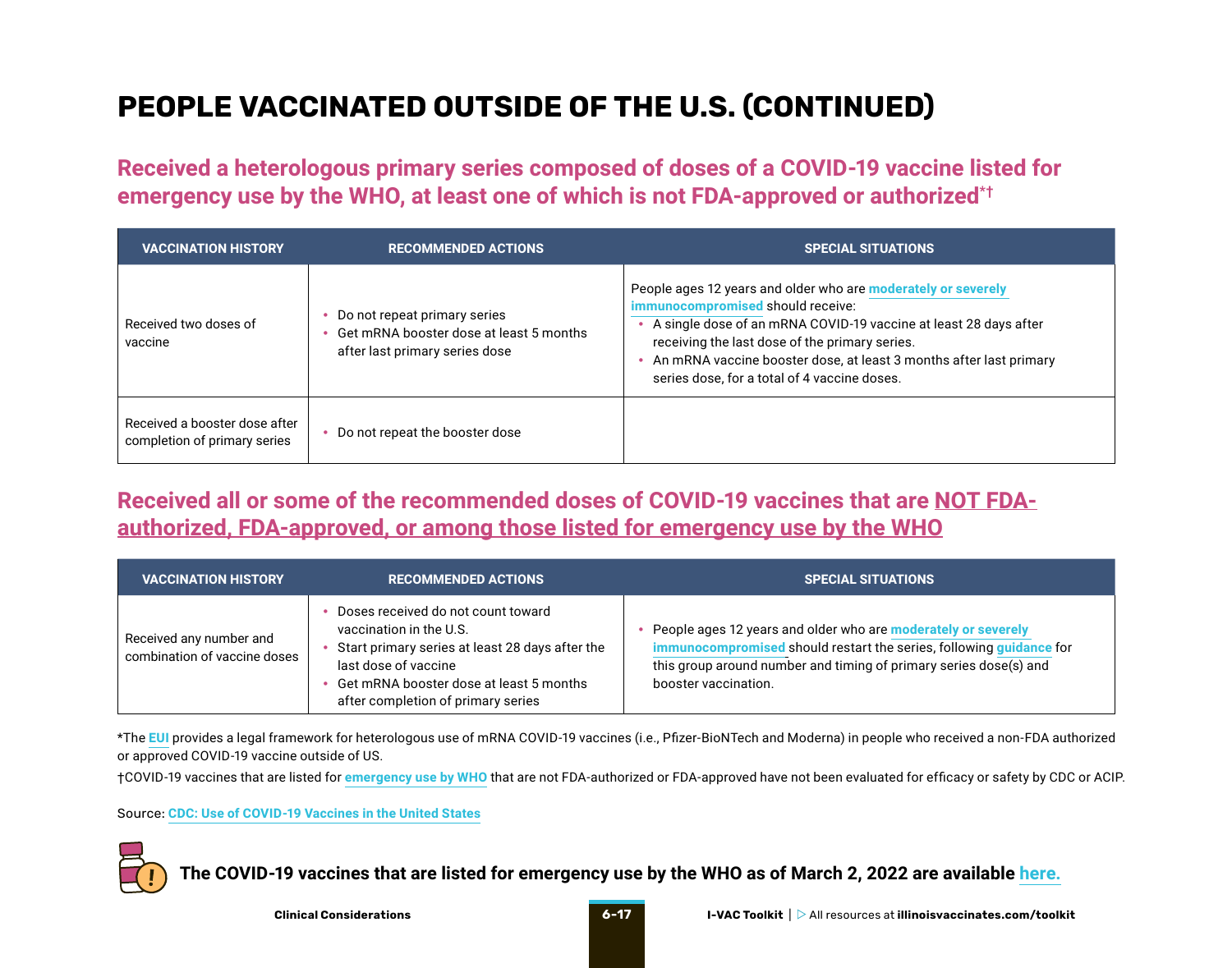### **PEOPLE VACCINATED OUTSIDE OF THE U.S. (CONTINUED)**

**Received a heterologous primary series composed of doses of a COVID-19 vaccine listed for emergency use by the WHO, at least one of which is not FDA-approved or authorized\*†**

| <b>VACCINATION HISTORY</b>                                    | <b>RECOMMENDED ACTIONS</b>                                                                                | <b>SPECIAL SITUATIONS</b>                                                                                                                                                                                                                                                                                                                      |
|---------------------------------------------------------------|-----------------------------------------------------------------------------------------------------------|------------------------------------------------------------------------------------------------------------------------------------------------------------------------------------------------------------------------------------------------------------------------------------------------------------------------------------------------|
| Received two doses of<br>vaccine                              | Do not repeat primary series<br>Get mRNA booster dose at least 5 months<br>after last primary series dose | People ages 12 years and older who are moderately or severely<br>immunocompromised should receive:<br>A single dose of an mRNA COVID-19 vaccine at least 28 days after<br>receiving the last dose of the primary series.<br>An mRNA vaccine booster dose, at least 3 months after last primary<br>series dose, for a total of 4 vaccine doses. |
| Received a booster dose after<br>completion of primary series | Do not repeat the booster dose                                                                            |                                                                                                                                                                                                                                                                                                                                                |

**Received all or some of the recommended doses of COVID-19 vaccines that are NOT FDAauthorized, FDA-approved, or among those listed for emergency use by the WHO**

| <b>VACCINATION HISTORY</b>                              | <b>RECOMMENDED ACTIONS</b>                                                                                                                                                                                                | <b>SPECIAL SITUATIONS</b>                                                                                                                                                                                                         |
|---------------------------------------------------------|---------------------------------------------------------------------------------------------------------------------------------------------------------------------------------------------------------------------------|-----------------------------------------------------------------------------------------------------------------------------------------------------------------------------------------------------------------------------------|
| Received any number and<br>combination of vaccine doses | Doses received do not count toward<br>vaccination in the U.S.<br>Start primary series at least 28 days after the<br>last dose of vaccine<br>Get mRNA booster dose at least 5 months<br>after completion of primary series | People ages 12 years and older who are moderately or severely<br>immunocompromised should restart the series, following guidance for<br>this group around number and timing of primary series dose(s) and<br>booster vaccination. |

\*The **[EUI](https://www.cdc.gov/vaccines/covid-19/eui/index.html)** provides a legal framework for heterologous use of mRNA COVID-19 vaccines (i.e., Pfizer-BioNTech and Moderna) in people who received a non-FDA authorized or approved COVID-19 vaccine outside of US.

†COVID-19 vaccines that are listed for **[emergency use by WHO](https://extranet.who.int/pqweb/vaccines/vaccinescovid-19-vaccine-eul-issued)** that are not FDA-authorized or FDA-approved have not been evaluated for efficacy or safety by CDC or ACIP.

Source: **[CDC: Use of COVID-19 Vaccines in the United States](https://www.cdc.gov/vaccines/covid-19/clinical-considerations/covid-19-vaccines-us.html#appendix-e)**



**The COVID-19 vaccines that are listed for emergency use by the WHO as of March 2, 2022 are available [here.](https://extranet.who.int/pqweb/sites/default/files/documents/Status_COVID_VAX_02March2022.pdf)**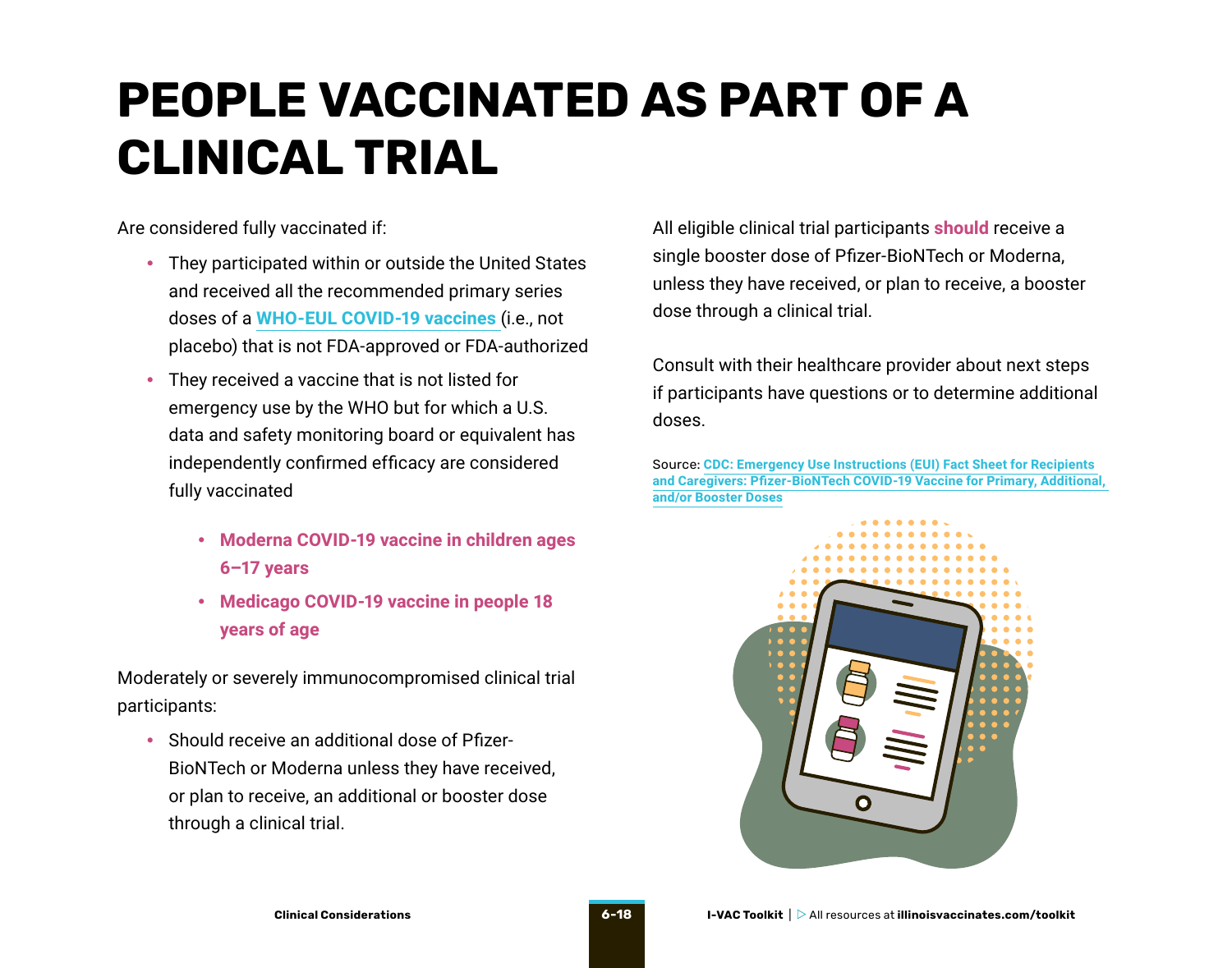## <span id="page-17-0"></span>**PEOPLE VACCINATED AS PART OF A CLINICAL TRIAL**

Are considered fully vaccinated if:

- They participated within or outside the United States and received all the recommended primary series doses of a **[WHO-EUL COVID-19 vaccines](https://extranet.who.int/pqweb/sites/default/files/documents/Status_COVID_VAX_02March2022.pdf)** (i.e., not placebo) that is not FDA-approved or FDA-authorized
- They received a vaccine that is not listed for emergency use by the WHO but for which a U.S. data and safety monitoring board or equivalent has independently confirmed efficacy are considered fully vaccinated
	- **Moderna COVID-19 vaccine in children ages 6–17 years**
	- **Medicago COVID-19 vaccine in people 18 years of age**

Moderately or severely immunocompromised clinical trial participants:

• Should receive an additional dose of Pfizer-BioNTech or Moderna unless they have received, or plan to receive, an additional or booster dose through a clinical trial.

All eligible clinical trial participants **should** receive a single booster dose of Pfizer-BioNTech or Moderna, unless they have received, or plan to receive, a booster dose through a clinical trial.

Consult with their healthcare provider about next steps if participants have questions or to determine additional doses.

Source: **[CDC: Emergency Use Instructions \(EUI\) Fact Sheet for Recipients](https://www.cdc.gov/vaccines/covid-19/eui/downloads/Pfizer-Caregiver.pdf)  [and Caregivers: Pfizer-BioNTech COVID-19 Vaccine for Primary, Additional,](https://www.cdc.gov/vaccines/covid-19/eui/downloads/Pfizer-Caregiver.pdf)  [and/or Booster Doses](https://www.cdc.gov/vaccines/covid-19/eui/downloads/Pfizer-Caregiver.pdf)**

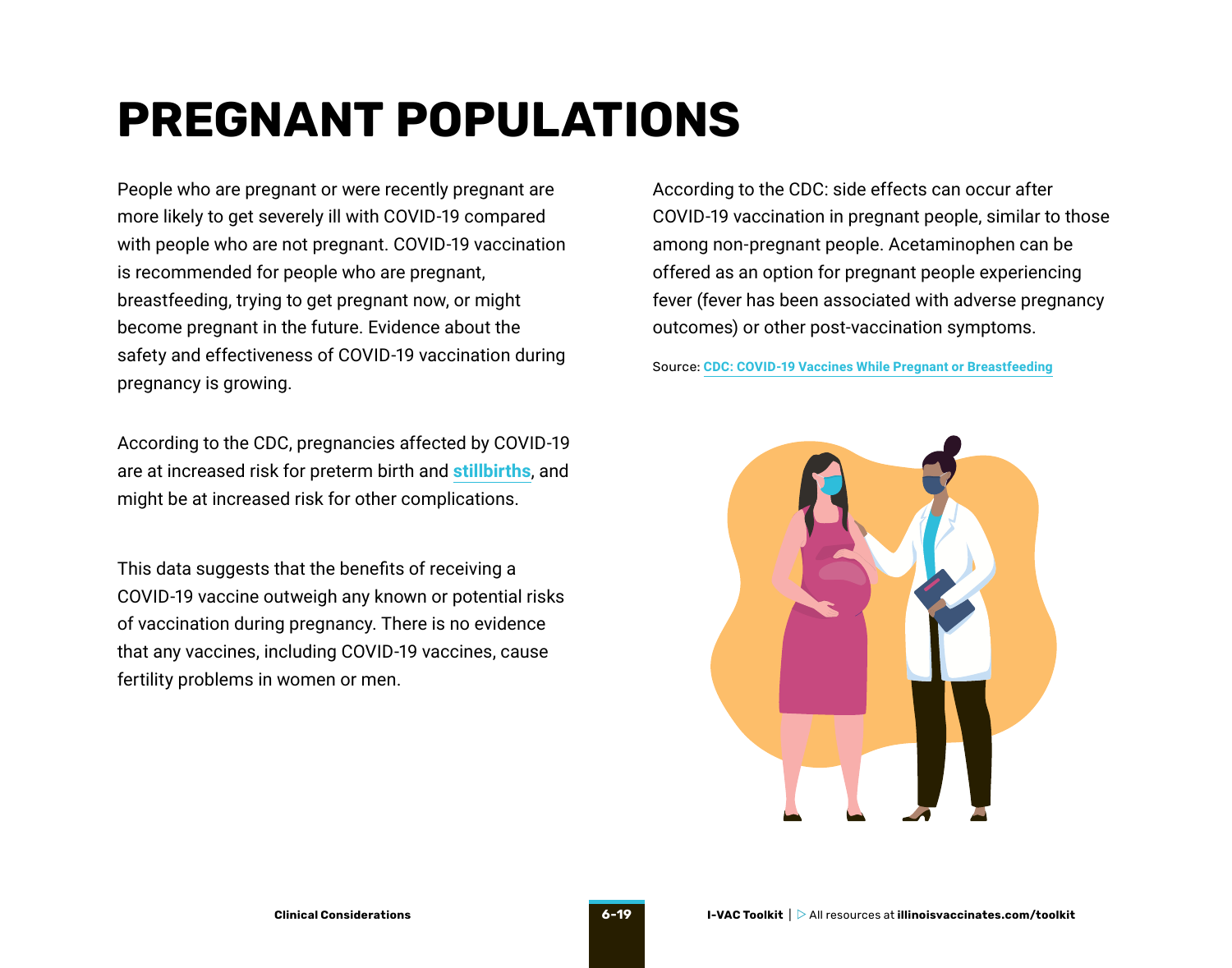## <span id="page-18-0"></span>**PREGNANT POPULATIONS**

People who are pregnant or were recently pregnant are more likely to get severely ill with COVID-19 compared with people who are not pregnant. COVID-19 vaccination is recommended for people who are pregnant, breastfeeding, trying to get pregnant now, or might become pregnant in the future. Evidence about the safety and effectiveness of COVID-19 vaccination during pregnancy is growing.

According to the CDC, pregnancies affected by COVID-19 are at increased risk for preterm birth and **[stillbirths](https://www.cdc.gov/mmwr/volumes/70/wr/mm7047e1.htm?s_cid=mm7047e1_w)**, and might be at increased risk for other complications.

This data suggests that the benefits of receiving a COVID-19 vaccine outweigh any known or potential risks of vaccination during pregnancy. There is no evidence that any vaccines, including COVID-19 vaccines, cause fertility problems in women or men.

According to the CDC: side effects can occur after COVID-19 vaccination in pregnant people, similar to those among non-pregnant people. Acetaminophen can be offered as an option for pregnant people experiencing fever (fever has been associated with adverse pregnancy outcomes) or other post-vaccination symptoms.

Source: **[CDC: COVID-19 Vaccines While Pregnant or Breastfeeding](https://www.cdc.gov/coronavirus/2019-ncov/vaccines/recommendations/pregnancy.html?s_cid=10484:covid%20vaccine%20for%20pregnant:sem.ga:p:RG:GM:gen:PTN:FY21)**

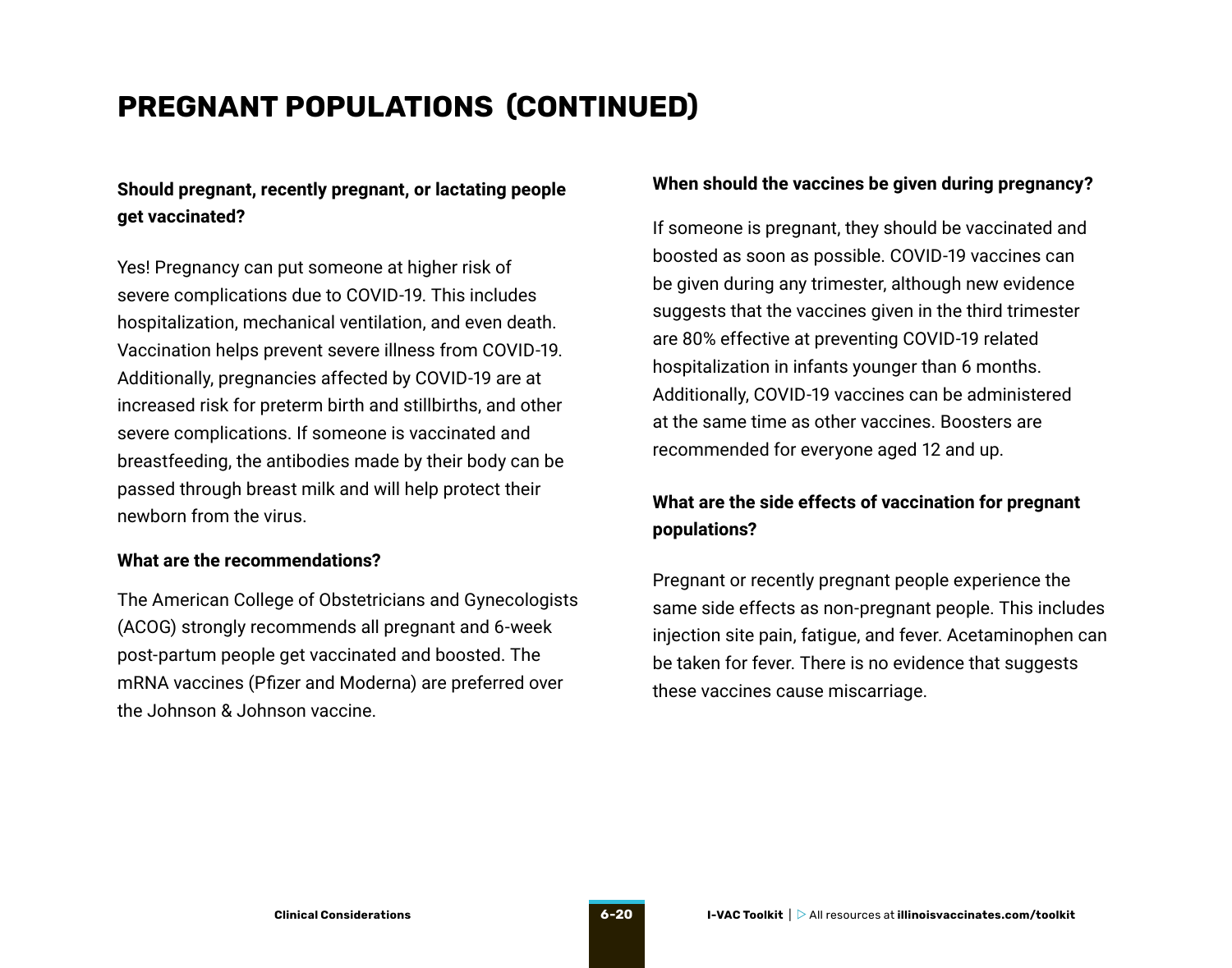### **PREGNANT POPULATIONS (CONTINUED)**

#### **Should pregnant, recently pregnant, or lactating people get vaccinated?**

Yes! Pregnancy can put someone at higher risk of severe complications due to COVID-19. This includes hospitalization, mechanical ventilation, and even death. Vaccination helps prevent severe illness from COVID-19. Additionally, pregnancies affected by COVID-19 are at increased risk for preterm birth and stillbirths, and other severe complications. If someone is vaccinated and breastfeeding, the antibodies made by their body can be passed through breast milk and will help protect their newborn from the virus.

#### **What are the recommendations?**

The American College of Obstetricians and Gynecologists (ACOG) strongly recommends all pregnant and 6-week post-partum people get vaccinated and boosted. The mRNA vaccines (Pfizer and Moderna) are preferred over the Johnson & Johnson vaccine.

#### **When should the vaccines be given during pregnancy?**

If someone is pregnant, they should be vaccinated and boosted as soon as possible. COVID-19 vaccines can be given during any trimester, although new evidence suggests that the vaccines given in the third trimester are 80% effective at preventing COVID-19 related hospitalization in infants younger than 6 months. Additionally, COVID-19 vaccines can be administered at the same time as other vaccines. Boosters are recommended for everyone aged 12 and up.

#### **What are the side effects of vaccination for pregnant populations?**

Pregnant or recently pregnant people experience the same side effects as non-pregnant people. This includes injection site pain, fatigue, and fever. Acetaminophen can be taken for fever. There is no evidence that suggests these vaccines cause miscarriage.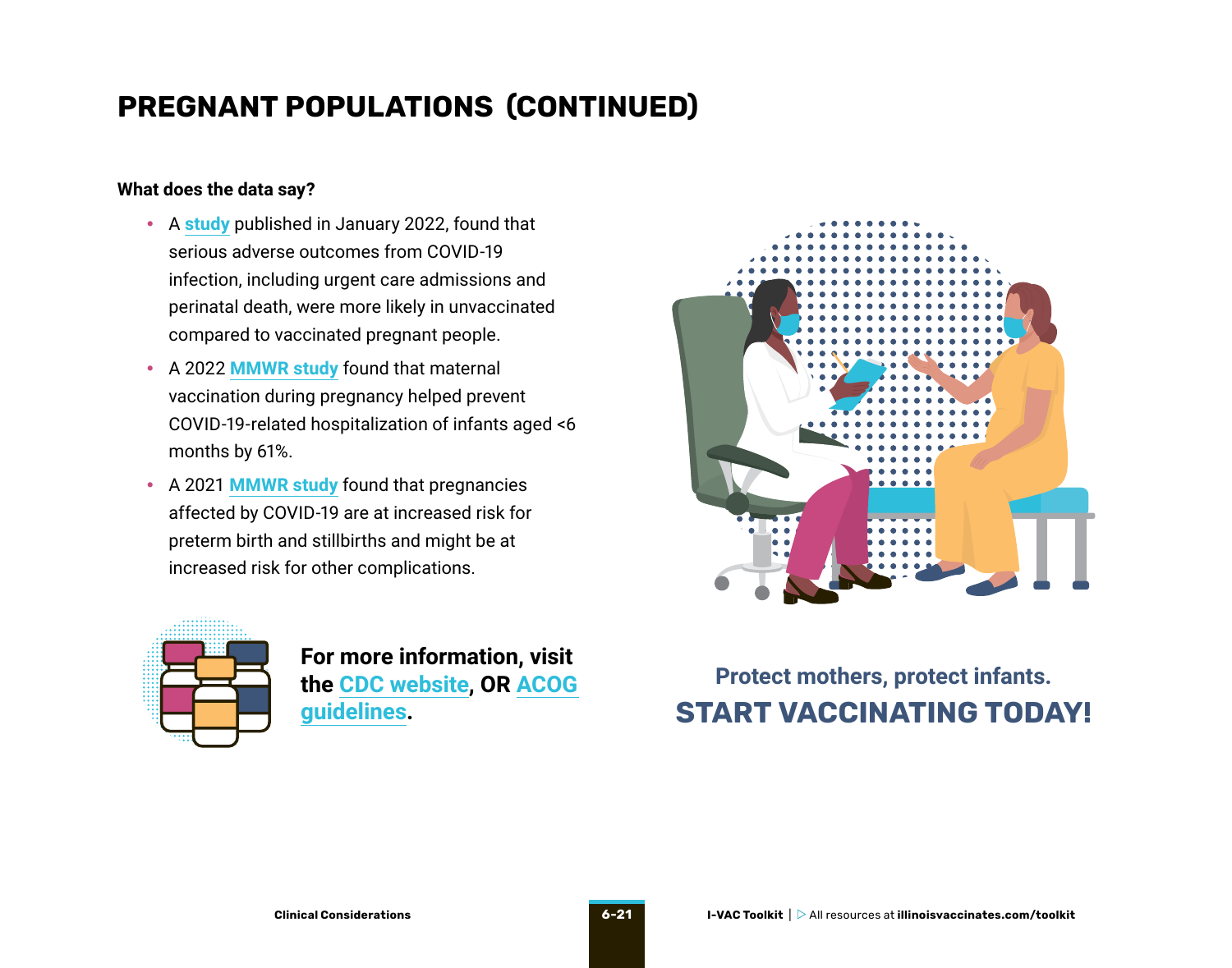### **PREGNANT POPULATIONS (CONTINUED)**

#### **What does the data say?**

- A **[study](https://www.nature.com/articles/s41591-021-01666-2)** published in January 2022, found that serious adverse outcomes from COVID-19 infection, including urgent care admissions and perinatal death, were more likely in unvaccinated compared to vaccinated pregnant people.
- A 2022 **[MMWR study](https://www.cdc.gov/mmwr/volumes/71/wr/mm7107e3.htm)** found that maternal vaccination during pregnancy helped prevent COVID-19-related hospitalization of infants aged <6 months by 61%.
- A 2021 **[MMWR study](https://www.cdc.gov/mmwr/volumes/70/wr/mm7047e1.htm)** found that pregnancies affected by COVID-19 are at increased risk for preterm birth and stillbirths and might be at increased risk for other complications.



**For more information, visit the [CDC website,](https://www.cdc.gov/coronavirus/2019-ncov/vaccines/recommendations/pregnancy.html) OR [ACOG](https://www.acog.org/clinical/clinical-guidance/practice-advisory/articles/2020/12/covid-19-vaccination-considerations-for-obstetric-gynecologic-care)  [guidelines.](https://www.acog.org/clinical/clinical-guidance/practice-advisory/articles/2020/12/covid-19-vaccination-considerations-for-obstetric-gynecologic-care)**



### **Protect mothers, protect infants. START VACCINATING TODAY!**